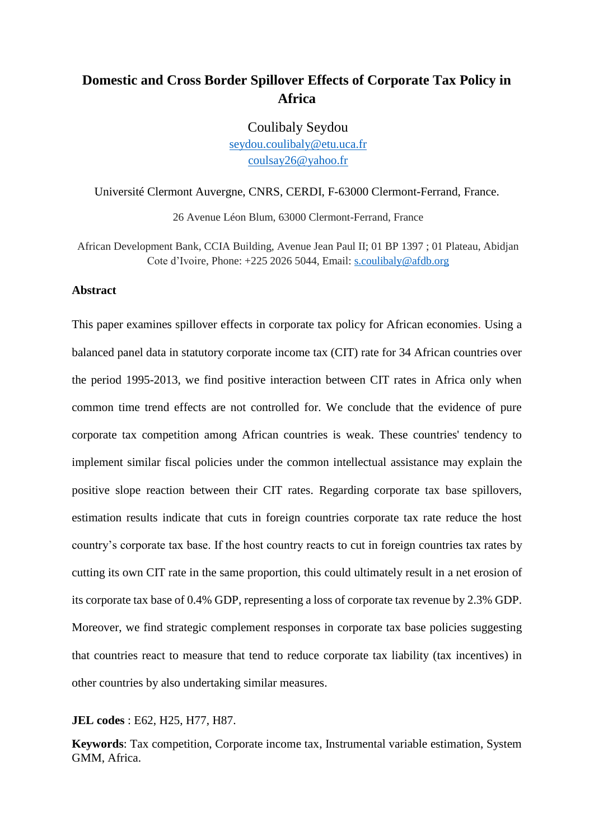# **Domestic and Cross Border Spillover Effects of Corporate Tax Policy in Africa**

Coulibaly Seydou seydou.coulibaly@etu.uca.fr coulsay26@yahoo.fr

Université Clermont Auvergne, CNRS, CERDI, F-63000 Clermont-Ferrand, France.

26 Avenue Léon Blum, 63000 Clermont-Ferrand, France

African Development Bank, CCIA Building, Avenue Jean Paul II; 01 BP 1397 ; 01 Plateau, Abidjan Cote d'Ivoire, Phone: +225 2026 5044, Email: s.coulibaly@afdb.org

### **Abstract**

This paper examines spillover effects in corporate tax policy for African economies. Using a balanced panel data in statutory corporate income tax (CIT) rate for 34 African countries over the period 1995-2013, we find positive interaction between CIT rates in Africa only when common time trend effects are not controlled for. We conclude that the evidence of pure corporate tax competition among African countries is weak. These countries' tendency to implement similar fiscal policies under the common intellectual assistance may explain the positive slope reaction between their CIT rates. Regarding corporate tax base spillovers, estimation results indicate that cuts in foreign countries corporate tax rate reduce the host country's corporate tax base. If the host country reacts to cut in foreign countries tax rates by cutting its own CIT rate in the same proportion, this could ultimately result in a net erosion of its corporate tax base of 0.4% GDP, representing a loss of corporate tax revenue by 2.3% GDP. Moreover, we find strategic complement responses in corporate tax base policies suggesting that countries react to measure that tend to reduce corporate tax liability (tax incentives) in other countries by also undertaking similar measures.

**JEL codes** : E62, H25, H77, H87.

**Keywords**: Tax competition, Corporate income tax, Instrumental variable estimation, System GMM, Africa.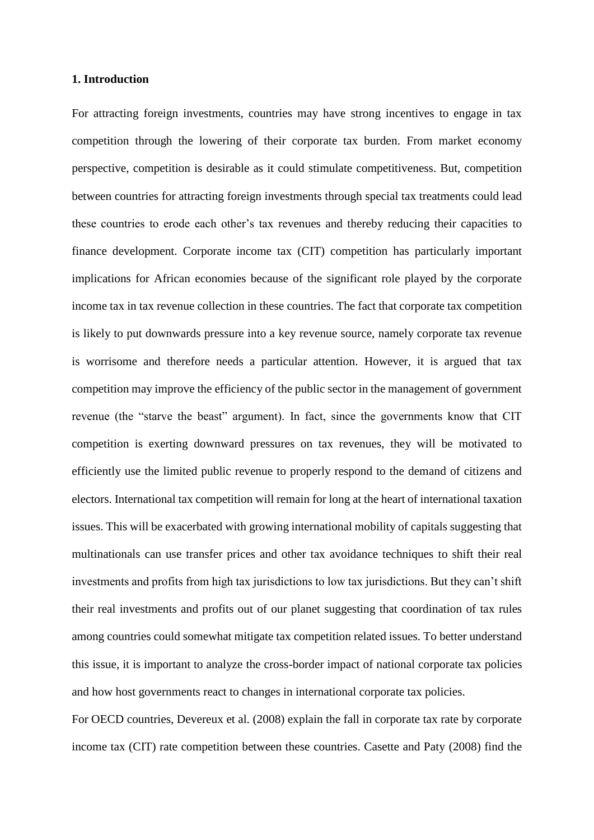### **1. Introduction**

For attracting foreign investments, countries may have strong incentives to engage in tax competition through the lowering of their corporate tax burden. From market economy perspective, competition is desirable as it could stimulate competitiveness. But, competition between countries for attracting foreign investments through special tax treatments could lead these countries to erode each other's tax revenues and thereby reducing their capacities to finance development. Corporate income tax (CIT) competition has particularly important implications for African economies because of the significant role played by the corporate income tax in tax revenue collection in these countries. The fact that corporate tax competition is likely to put downwards pressure into a key revenue source, namely corporate tax revenue is worrisome and therefore needs a particular attention. However, it is argued that tax competition may improve the efficiency of the public sector in the management of government revenue (the "starve the beast" argument). In fact, since the governments know that CIT competition is exerting downward pressures on tax revenues, they will be motivated to efficiently use the limited public revenue to properly respond to the demand of citizens and electors. International tax competition will remain for long at the heart of international taxation issues. This will be exacerbated with growing international mobility of capitals suggesting that multinationals can use transfer prices and other tax avoidance techniques to shift their real investments and profits from high tax jurisdictions to low tax jurisdictions. But they can't shift their real investments and profits out of our planet suggesting that coordination of tax rules among countries could somewhat mitigate tax competition related issues. To better understand this issue, it is important to analyze the cross-border impact of national corporate tax policies and how host governments react to changes in international corporate tax policies.

For OECD countries, Devereux et al. (2008) explain the fall in corporate tax rate by corporate income tax (CIT) rate competition between these countries. Casette and Paty (2008) find the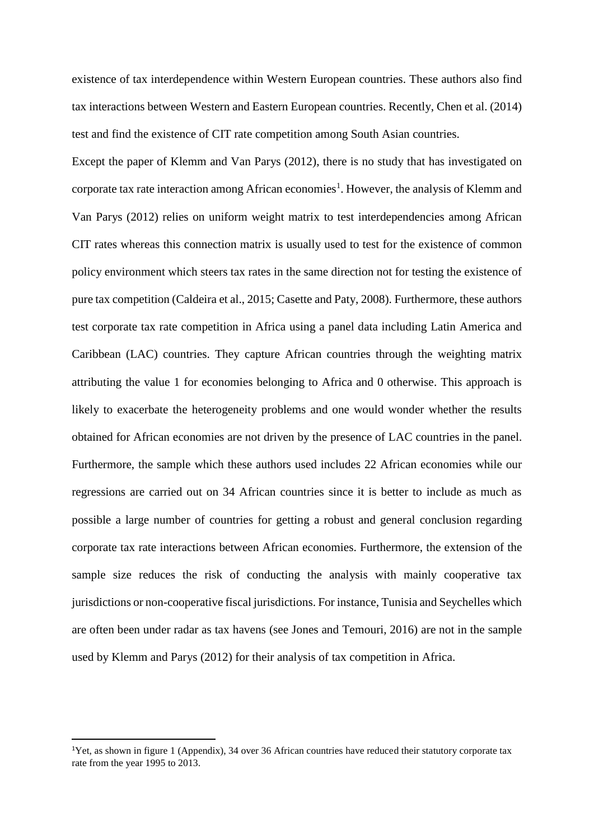existence of tax interdependence within Western European countries. These authors also find tax interactions between Western and Eastern European countries. Recently, Chen et al. (2014) test and find the existence of CIT rate competition among South Asian countries.

Except the paper of Klemm and Van Parys (2012), there is no study that has investigated on corporate tax rate interaction among African economies<sup>1</sup>. However, the analysis of Klemm and Van Parys (2012) relies on uniform weight matrix to test interdependencies among African CIT rates whereas this connection matrix is usually used to test for the existence of common policy environment which steers tax rates in the same direction not for testing the existence of pure tax competition (Caldeira et al., 2015; Casette and Paty, 2008). Furthermore, these authors test corporate tax rate competition in Africa using a panel data including Latin America and Caribbean (LAC) countries. They capture African countries through the weighting matrix attributing the value 1 for economies belonging to Africa and 0 otherwise. This approach is likely to exacerbate the heterogeneity problems and one would wonder whether the results obtained for African economies are not driven by the presence of LAC countries in the panel. Furthermore, the sample which these authors used includes 22 African economies while our regressions are carried out on 34 African countries since it is better to include as much as possible a large number of countries for getting a robust and general conclusion regarding corporate tax rate interactions between African economies. Furthermore, the extension of the sample size reduces the risk of conducting the analysis with mainly cooperative tax jurisdictions or non-cooperative fiscal jurisdictions. For instance, Tunisia and Seychelles which are often been under radar as tax havens (see Jones and Temouri, 2016) are not in the sample used by Klemm and Parys (2012) for their analysis of tax competition in Africa.

1

<sup>1</sup>Yet, as shown in figure 1 (Appendix), 34 over 36 African countries have reduced their statutory corporate tax rate from the year 1995 to 2013.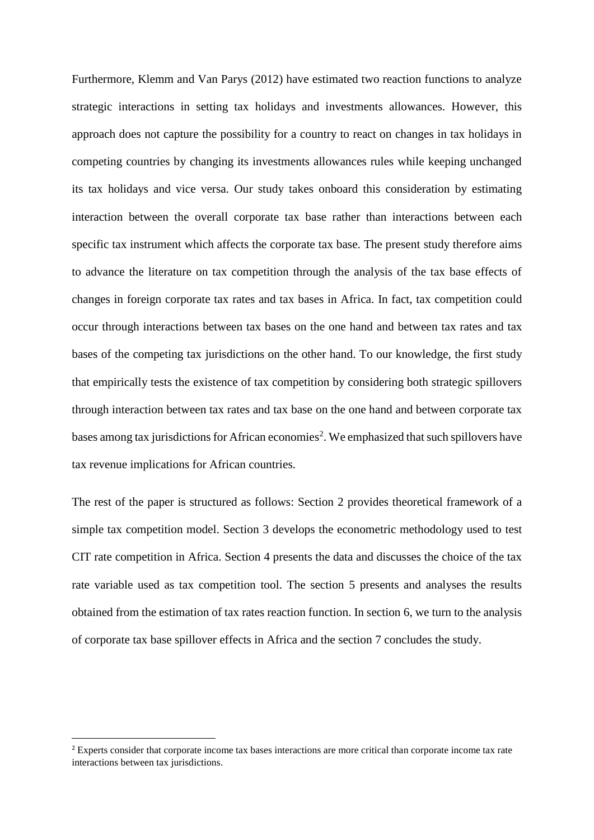Furthermore, Klemm and Van Parys (2012) have estimated two reaction functions to analyze strategic interactions in setting tax holidays and investments allowances. However, this approach does not capture the possibility for a country to react on changes in tax holidays in competing countries by changing its investments allowances rules while keeping unchanged its tax holidays and vice versa. Our study takes onboard this consideration by estimating interaction between the overall corporate tax base rather than interactions between each specific tax instrument which affects the corporate tax base. The present study therefore aims to advance the literature on tax competition through the analysis of the tax base effects of changes in foreign corporate tax rates and tax bases in Africa. In fact, tax competition could occur through interactions between tax bases on the one hand and between tax rates and tax bases of the competing tax jurisdictions on the other hand. To our knowledge, the first study that empirically tests the existence of tax competition by considering both strategic spillovers through interaction between tax rates and tax base on the one hand and between corporate tax bases among tax jurisdictions for African economies<sup>2</sup>. We emphasized that such spillovers have tax revenue implications for African countries.

The rest of the paper is structured as follows: Section 2 provides theoretical framework of a simple tax competition model. Section 3 develops the econometric methodology used to test CIT rate competition in Africa. Section 4 presents the data and discusses the choice of the tax rate variable used as tax competition tool. The section 5 presents and analyses the results obtained from the estimation of tax rates reaction function. In section 6, we turn to the analysis of corporate tax base spillover effects in Africa and the section 7 concludes the study.

1

<sup>2</sup> Experts consider that corporate income tax bases interactions are more critical than corporate income tax rate interactions between tax jurisdictions.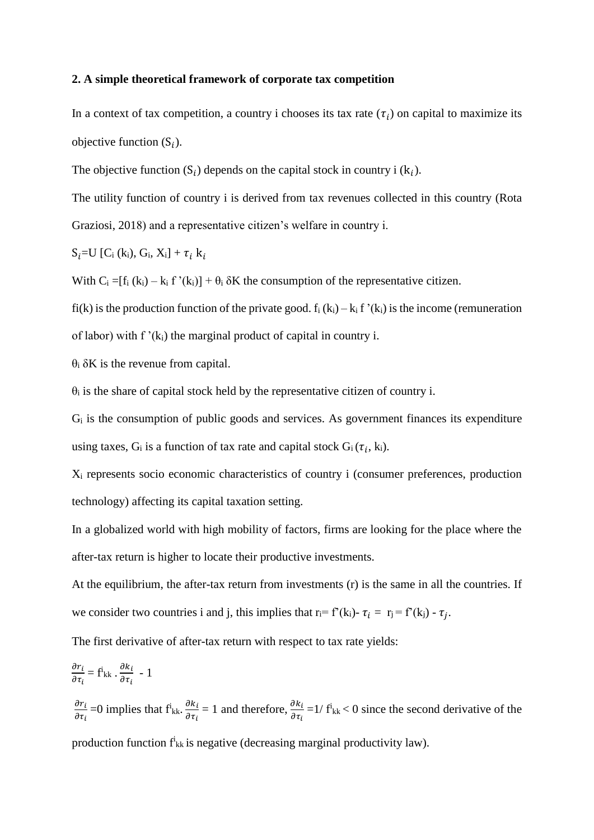### **2. A simple theoretical framework of corporate tax competition**

In a context of tax competition, a country i chooses its tax rate  $(\tau_i)$  on capital to maximize its objective function  $(S_i)$ .

The objective function  $(S_i)$  depends on the capital stock in country i  $(k_i)$ .

The utility function of country i is derived from tax revenues collected in this country (Rota Graziosi, 2018) and a representative citizen's welfare in country i.

 $S_i = U$  [C<sub>i</sub> (k<sub>i</sub>), G<sub>i</sub>, X<sub>i</sub>] +  $\tau_i$  k<sub>i</sub>

With  $C_i = [f_i (k_i) - k_i f' (k_i)] + \theta_i \delta K$  the consumption of the representative citizen.

fi(k) is the production function of the private good.  $f_i(k_i) - k_i f'(k_i)$  is the income (remuneration

of labor) with  $f'(k_i)$  the marginal product of capital in country i.

 $θ$ <sub>i</sub> δK is the revenue from capital.

 $\theta_i$  is the share of capital stock held by the representative citizen of country i.

 $G_i$  is the consumption of public goods and services. As government finances its expenditure using taxes,  $G_i$  is a function of tax rate and capital stock  $G_i(\tau_i, k_i)$ .

X<sup>i</sup> represents socio economic characteristics of country i (consumer preferences, production technology) affecting its capital taxation setting.

In a globalized world with high mobility of factors, firms are looking for the place where the after-tax return is higher to locate their productive investments.

At the equilibrium, the after-tax return from investments (r) is the same in all the countries. If we consider two countries i and j, this implies that  $r_i = f'(k_i) - \tau_j = f'(k_j) - \tau_j$ .

The first derivative of after-tax return with respect to tax rate yields:

$$
\frac{\partial r_i}{\partial \tau_i} = \vec{f}_{kk} \cdot \frac{\partial k_i}{\partial \tau_i} - 1
$$
\n
$$
\frac{\partial r_i}{\partial \tau_i} = 0 \text{ implies that } \vec{f}_{kk} \cdot \frac{\partial k_i}{\partial \tau_i} = 1 \text{ and therefore, } \frac{\partial k_i}{\partial \tau_i} = 1 / \vec{f}_{kk} < 0 \text{ since the second derivative of the}
$$

production function  $f_{kk}$  is negative (decreasing marginal productivity law).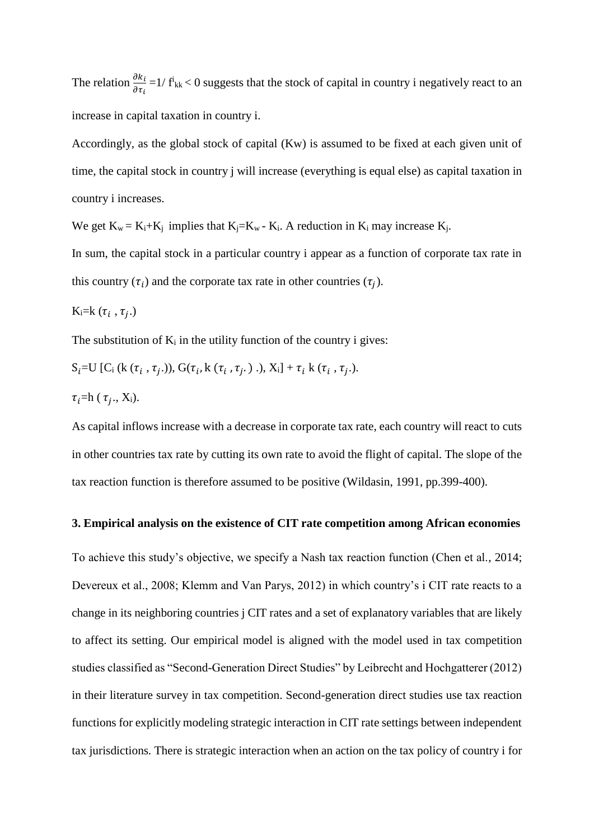The relation  $\frac{\partial k_i}{\partial \tau_i}$  = 1/ f<sup>i</sup><sub>kk</sub> < 0 suggests that the stock of capital in country i negatively react to an increase in capital taxation in country i.

Accordingly, as the global stock of capital (Kw) is assumed to be fixed at each given unit of time, the capital stock in country j will increase (everything is equal else) as capital taxation in country i increases.

We get  $K_w = K_i + K_j$  implies that  $K_i = K_w - K_i$ . A reduction in  $K_i$  may increase  $K_i$ .

In sum, the capital stock in a particular country i appear as a function of corporate tax rate in this country  $(\tau_i)$  and the corporate tax rate in other countries  $(\tau_j)$ .

K<sub>i</sub>=k
$$
(\tau_i, \tau_j.)
$$

The substitution of  $K_i$  in the utility function of the country i gives:

$$
S_i = U [C_i (k (\tau_i, \tau_j.)), G(\tau_i, k (\tau_i, \tau_j.)), X_i] + \tau_i k (\tau_i, \tau_j.).
$$

$$
\tau_i = h(\tau_j., X_i).
$$

As capital inflows increase with a decrease in corporate tax rate, each country will react to cuts in other countries tax rate by cutting its own rate to avoid the flight of capital. The slope of the tax reaction function is therefore assumed to be positive (Wildasin, 1991, pp.399-400).

### **3. Empirical analysis on the existence of CIT rate competition among African economies**

To achieve this study's objective, we specify a Nash tax reaction function (Chen et al., 2014; Devereux et al., 2008; Klemm and Van Parys, 2012) in which country's i CIT rate reacts to a change in its neighboring countries j CIT rates and a set of explanatory variables that are likely to affect its setting. Our empirical model is aligned with the model used in tax competition studies classified as "Second-Generation Direct Studies" by Leibrecht and Hochgatterer (2012) in their literature survey in tax competition. Second-generation direct studies use tax reaction functions for explicitly modeling strategic interaction in CIT rate settings between independent tax jurisdictions*.* There is strategic interaction when an action on the tax policy of country i for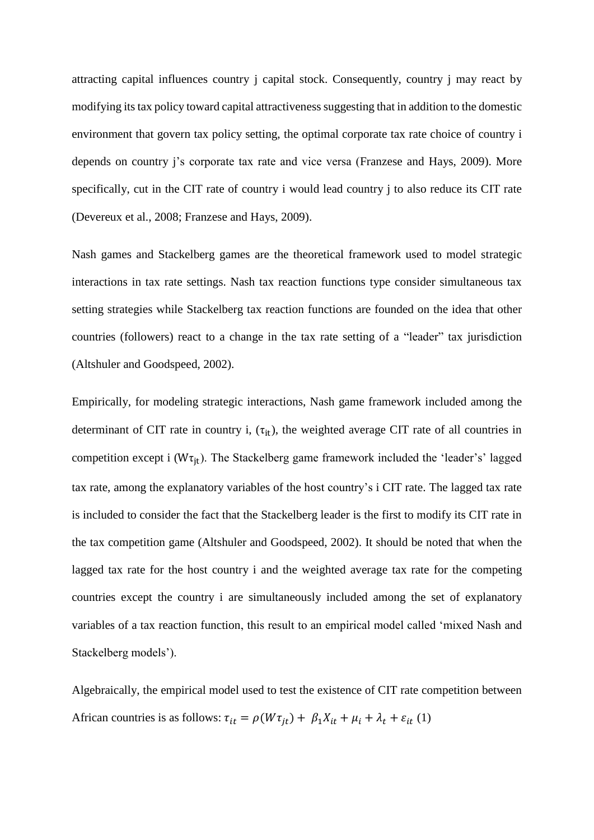attracting capital influences country j capital stock. Consequently, country j may react by modifying its tax policy toward capital attractiveness suggesting that in addition to the domestic environment that govern tax policy setting, the optimal corporate tax rate choice of country i depends on country j's corporate tax rate and vice versa (Franzese and Hays, 2009). More specifically, cut in the CIT rate of country i would lead country j to also reduce its CIT rate (Devereux et al., 2008; Franzese and Hays, 2009).

Nash games and Stackelberg games are the theoretical framework used to model strategic interactions in tax rate settings. Nash tax reaction functions type consider simultaneous tax setting strategies while Stackelberg tax reaction functions are founded on the idea that other countries (followers) react to a change in the tax rate setting of a "leader" tax jurisdiction (Altshuler and Goodspeed, 2002).

Empirically, for modeling strategic interactions, Nash game framework included among the determinant of CIT rate in country i,  $(\tau_{it})$ , the weighted average CIT rate of all countries in competition except i ( $W\tau_{it}$ ). The Stackelberg game framework included the 'leader's' lagged tax rate, among the explanatory variables of the host country's i CIT rate. The lagged tax rate is included to consider the fact that the Stackelberg leader is the first to modify its CIT rate in the tax competition game (Altshuler and Goodspeed, 2002). It should be noted that when the lagged tax rate for the host country i and the weighted average tax rate for the competing countries except the country i are simultaneously included among the set of explanatory variables of a tax reaction function, this result to an empirical model called 'mixed Nash and Stackelberg models').

Algebraically, the empirical model used to test the existence of CIT rate competition between African countries is as follows:  $\tau_{it} = \rho(W \tau_{jt}) + \beta_1 X_{it} + \mu_i + \lambda_t + \varepsilon_{it} (1)$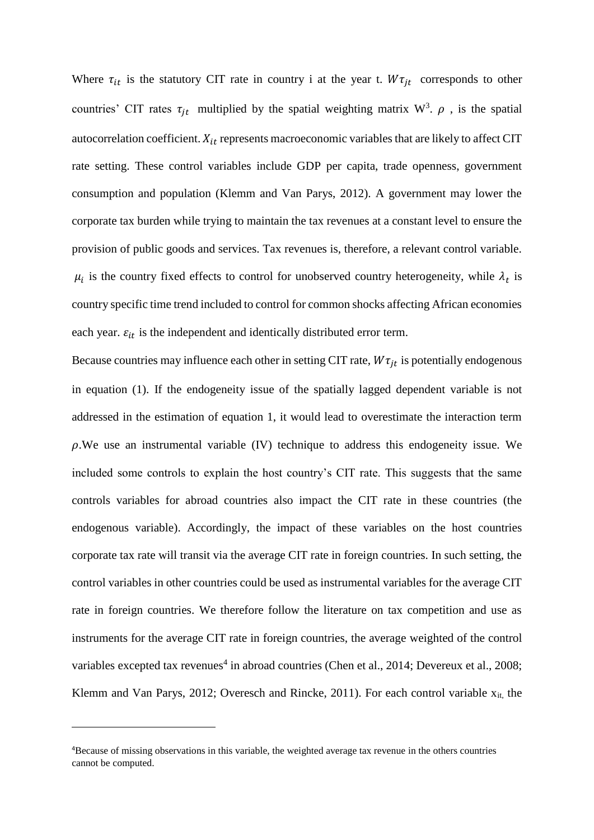Where  $\tau_{it}$  is the statutory CIT rate in country i at the year t.  $W\tau_{it}$  corresponds to other countries' CIT rates  $\tau_{jt}$  multiplied by the spatial weighting matrix W<sup>3</sup>.  $\rho$ , is the spatial autocorrelation coefficient.  $X_{it}$  represents macroeconomic variables that are likely to affect CIT rate setting. These control variables include GDP per capita, trade openness, government consumption and population (Klemm and Van Parys, 2012). A government may lower the corporate tax burden while trying to maintain the tax revenues at a constant level to ensure the provision of public goods and services. Tax revenues is, therefore, a relevant control variable.  $\mu_i$  is the country fixed effects to control for unobserved country heterogeneity, while  $\lambda_t$  is country specific time trend included to control for common shocks affecting African economies each year.  $\varepsilon_{it}$  is the independent and identically distributed error term.

Because countries may influence each other in setting CIT rate,  $W\tau_{it}$  is potentially endogenous in equation (1). If the endogeneity issue of the spatially lagged dependent variable is not addressed in the estimation of equation 1, it would lead to overestimate the interaction term  $\rho$ . We use an instrumental variable (IV) technique to address this endogeneity issue. We included some controls to explain the host country's CIT rate. This suggests that the same controls variables for abroad countries also impact the CIT rate in these countries (the endogenous variable). Accordingly, the impact of these variables on the host countries corporate tax rate will transit via the average CIT rate in foreign countries. In such setting, the control variables in other countries could be used as instrumental variables for the average CIT rate in foreign countries. We therefore follow the literature on tax competition and use as instruments for the average CIT rate in foreign countries, the average weighted of the control variables excepted tax revenues<sup>4</sup> in abroad countries (Chen et al., 2014; Devereux et al., 2008; Klemm and Van Parys, 2012; Overesch and Rincke, 2011). For each control variable  $x_{it}$ , the

**.** 

<sup>4</sup>Because of missing observations in this variable, the weighted average tax revenue in the others countries cannot be computed.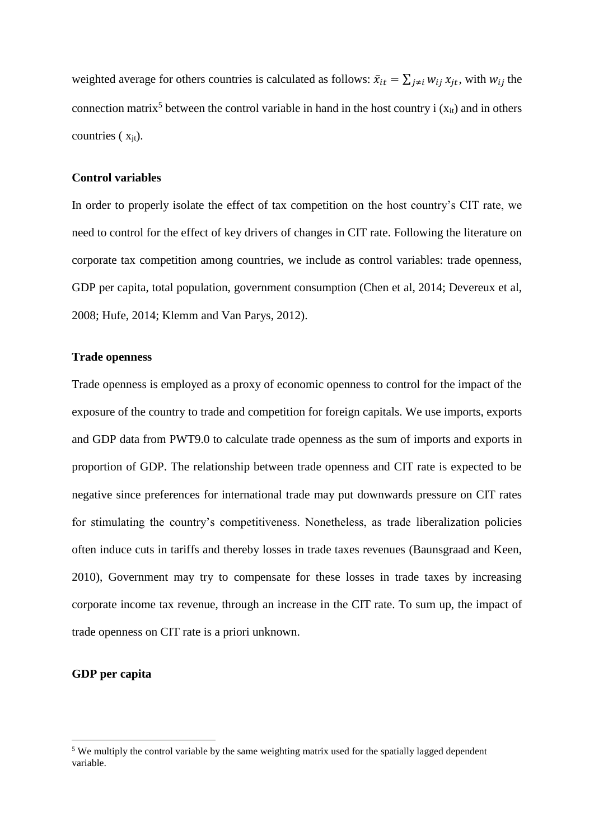weighted average for others countries is calculated as follows:  $\bar{x}_{it} = \sum_{j \neq i} w_{ij} x_{jt}$ , with  $w_{ij}$  the connection matrix<sup>5</sup> between the control variable in hand in the host country i  $(x<sub>it</sub>)$  and in others countries  $(x_{it})$ .

### **Control variables**

In order to properly isolate the effect of tax competition on the host country's CIT rate, we need to control for the effect of key drivers of changes in CIT rate. Following the literature on corporate tax competition among countries, we include as control variables: trade openness, GDP per capita, total population, government consumption (Chen et al, 2014; Devereux et al, 2008; Hufe, 2014; Klemm and Van Parys, 2012).

### **Trade openness**

Trade openness is employed as a proxy of economic openness to control for the impact of the exposure of the country to trade and competition for foreign capitals. We use imports, exports and GDP data from PWT9.0 to calculate trade openness as the sum of imports and exports in proportion of GDP. The relationship between trade openness and CIT rate is expected to be negative since preferences for international trade may put downwards pressure on CIT rates for stimulating the country's competitiveness. Nonetheless, as trade liberalization policies often induce cuts in tariffs and thereby losses in trade taxes revenues (Baunsgraad and Keen, 2010), Government may try to compensate for these losses in trade taxes by increasing corporate income tax revenue, through an increase in the CIT rate. To sum up, the impact of trade openness on CIT rate is a priori unknown.

### **GDP per capita**

1

<sup>&</sup>lt;sup>5</sup> We multiply the control variable by the same weighting matrix used for the spatially lagged dependent variable.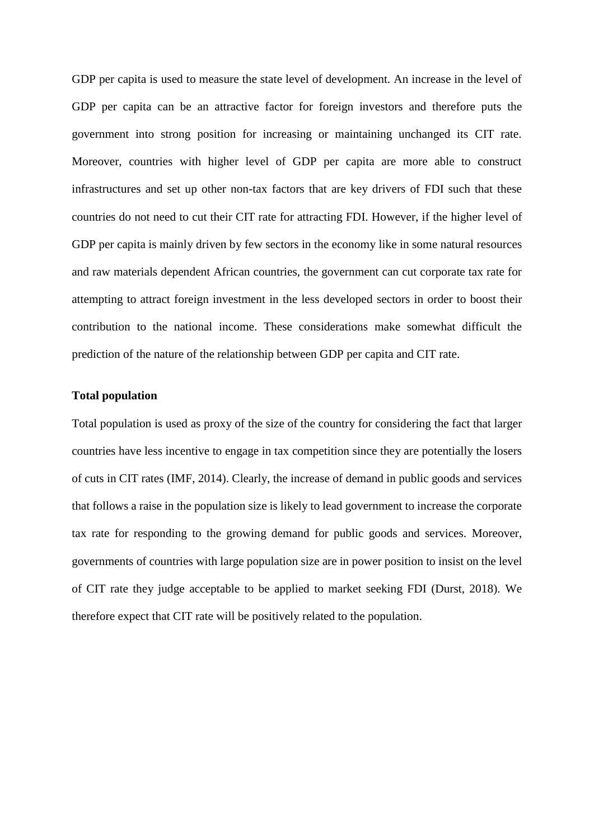GDP per capita is used to measure the state level of development. An increase in the level of GDP per capita can be an attractive factor for foreign investors and therefore puts the government into strong position for increasing or maintaining unchanged its CIT rate. Moreover, countries with higher level of GDP per capita are more able to construct infrastructures and set up other non-tax factors that are key drivers of FDI such that these countries do not need to cut their CIT rate for attracting FDI. However, if the higher level of GDP per capita is mainly driven by few sectors in the economy like in some natural resources and raw materials dependent African countries, the government can cut corporate tax rate for attempting to attract foreign investment in the less developed sectors in order to boost their contribution to the national income. These considerations make somewhat difficult the prediction of the nature of the relationship between GDP per capita and CIT rate.

### **Total population**

Total population is used as proxy of the size of the country for considering the fact that larger countries have less incentive to engage in tax competition since they are potentially the losers of cuts in CIT rates (IMF, 2014). Clearly, the increase of demand in public goods and services that follows a raise in the population size is likely to lead government to increase the corporate tax rate for responding to the growing demand for public goods and services. Moreover, governments of countries with large population size are in power position to insist on the level of CIT rate they judge acceptable to be applied to market seeking FDI (Durst, 2018). We therefore expect that CIT rate will be positively related to the population.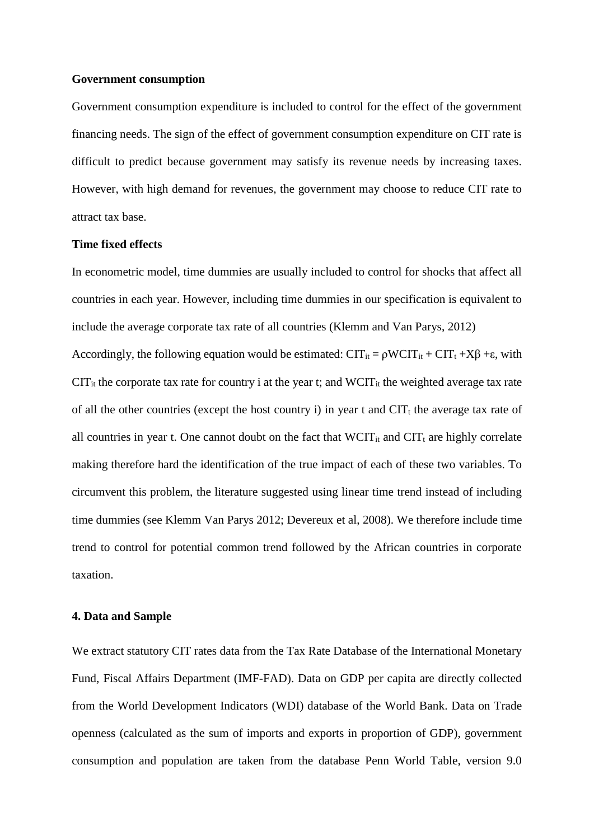### **Government consumption**

Government consumption expenditure is included to control for the effect of the government financing needs. The sign of the effect of government consumption expenditure on CIT rate is difficult to predict because government may satisfy its revenue needs by increasing taxes. However, with high demand for revenues, the government may choose to reduce CIT rate to attract tax base.

### **Time fixed effects**

In econometric model, time dummies are usually included to control for shocks that affect all countries in each year. However, including time dummies in our specification is equivalent to include the average corporate tax rate of all countries (Klemm and Van Parys, 2012) Accordingly, the following equation would be estimated:  $CIT_{it} = \rho WCTT_{it} + CT_t + X\beta + \epsilon$ , with  $CT_{it}$  the corporate tax rate for country i at the year t; and  $WCT_{it}$  the weighted average tax rate of all the other countries (except the host country i) in year t and  $\text{CIT}_t$  the average tax rate of all countries in year t. One cannot doubt on the fact that  $WCIT_{it}$  and  $CIT_t$  are highly correlate making therefore hard the identification of the true impact of each of these two variables. To

circumvent this problem, the literature suggested using linear time trend instead of including time dummies (see Klemm Van Parys 2012; Devereux et al, 2008). We therefore include time trend to control for potential common trend followed by the African countries in corporate taxation.

### **4. Data and Sample**

We extract statutory CIT rates data from the Tax Rate Database of the International Monetary Fund, Fiscal Affairs Department (IMF-FAD). Data on GDP per capita are directly collected from the World Development Indicators (WDI) database of the World Bank. Data on Trade openness (calculated as the sum of imports and exports in proportion of GDP), government consumption and population are taken from the database Penn World Table, version 9.0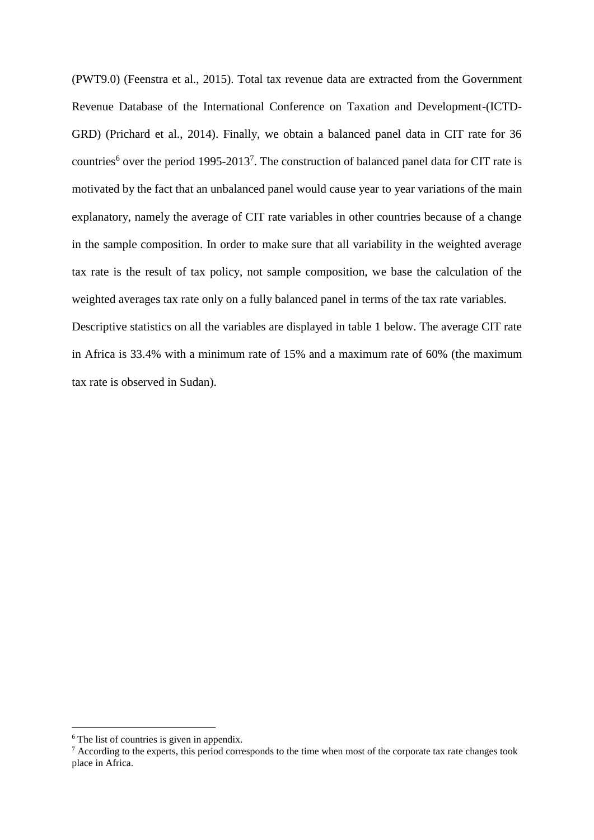(PWT9.0) (Feenstra et al., 2015). Total tax revenue data are extracted from the Government Revenue Database of the International Conference on Taxation and Development-(ICTD-GRD) (Prichard et al., 2014). Finally, we obtain a balanced panel data in CIT rate for 36 countries<sup>6</sup> over the period 1995-2013<sup>7</sup>. The construction of balanced panel data for CIT rate is motivated by the fact that an unbalanced panel would cause year to year variations of the main explanatory, namely the average of CIT rate variables in other countries because of a change in the sample composition. In order to make sure that all variability in the weighted average tax rate is the result of tax policy, not sample composition, we base the calculation of the weighted averages tax rate only on a fully balanced panel in terms of the tax rate variables.

Descriptive statistics on all the variables are displayed in table 1 below. The average CIT rate in Africa is 33.4% with a minimum rate of 15% and a maximum rate of 60% (the maximum tax rate is observed in Sudan).

**.** 

<sup>&</sup>lt;sup>6</sup> The list of countries is given in appendix.

 $\frac{7}{1}$  According to the experts, this period corresponds to the time when most of the corporate tax rate changes took place in Africa.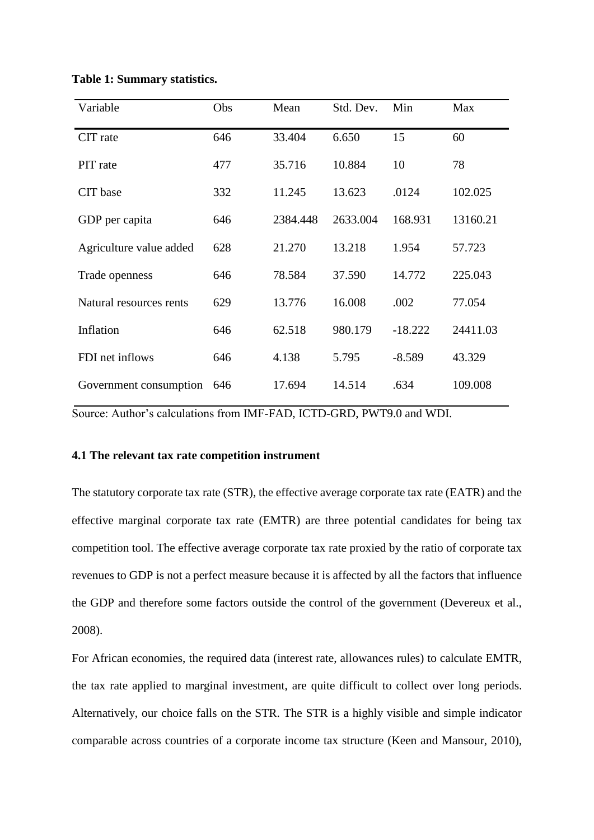| Variable                | Obs | Mean     | Std. Dev. | Min       | Max      |
|-------------------------|-----|----------|-----------|-----------|----------|
| CIT rate                | 646 | 33.404   | 6.650     | 15        | 60       |
| PIT rate                | 477 | 35.716   | 10.884    | 10        | 78       |
| CIT base                | 332 | 11.245   | 13.623    | .0124     | 102.025  |
| GDP per capita          | 646 | 2384.448 | 2633.004  | 168.931   | 13160.21 |
| Agriculture value added | 628 | 21.270   | 13.218    | 1.954     | 57.723   |
| Trade openness          | 646 | 78.584   | 37.590    | 14.772    | 225.043  |
| Natural resources rents | 629 | 13.776   | 16.008    | .002      | 77.054   |
| Inflation               | 646 | 62.518   | 980.179   | $-18.222$ | 24411.03 |
| FDI net inflows         | 646 | 4.138    | 5.795     | $-8.589$  | 43.329   |
| Government consumption  | 646 | 17.694   | 14.514    | .634      | 109.008  |

### **Table 1: Summary statistics.**

Source: Author's calculations from IMF-FAD, ICTD-GRD, PWT9.0 and WDI.

### **4.1 The relevant tax rate competition instrument**

The statutory corporate tax rate (STR), the effective average corporate tax rate (EATR) and the effective marginal corporate tax rate (EMTR) are three potential candidates for being tax competition tool. The effective average corporate tax rate proxied by the ratio of corporate tax revenues to GDP is not a perfect measure because it is affected by all the factors that influence the GDP and therefore some factors outside the control of the government (Devereux et al., 2008).

For African economies, the required data (interest rate, allowances rules) to calculate EMTR, the tax rate applied to marginal investment, are quite difficult to collect over long periods. Alternatively, our choice falls on the STR. The STR is a highly visible and simple indicator comparable across countries of a corporate income tax structure (Keen and Mansour, 2010),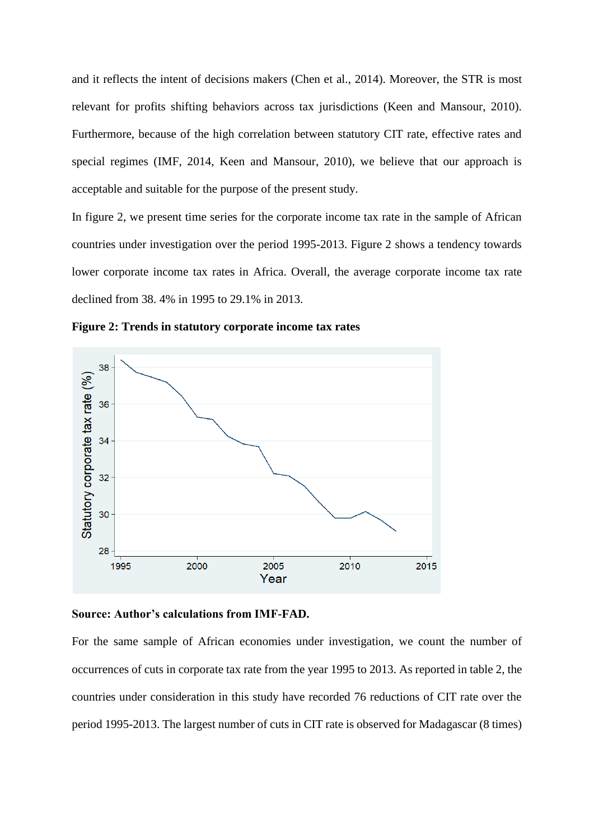and it reflects the intent of decisions makers (Chen et al., 2014). Moreover, the STR is most relevant for profits shifting behaviors across tax jurisdictions (Keen and Mansour, 2010). Furthermore, because of the high correlation between statutory CIT rate, effective rates and special regimes (IMF, 2014, Keen and Mansour, 2010), we believe that our approach is acceptable and suitable for the purpose of the present study.

In figure 2, we present time series for the corporate income tax rate in the sample of African countries under investigation over the period 1995-2013. Figure 2 shows a tendency towards lower corporate income tax rates in Africa. Overall, the average corporate income tax rate declined from 38. 4% in 1995 to 29.1% in 2013.

**Figure 2: Trends in statutory corporate income tax rates**



**Source: Author's calculations from IMF-FAD.**

For the same sample of African economies under investigation, we count the number of occurrences of cuts in corporate tax rate from the year 1995 to 2013. As reported in table 2, the countries under consideration in this study have recorded 76 reductions of CIT rate over the period 1995-2013. The largest number of cuts in CIT rate is observed for Madagascar (8 times)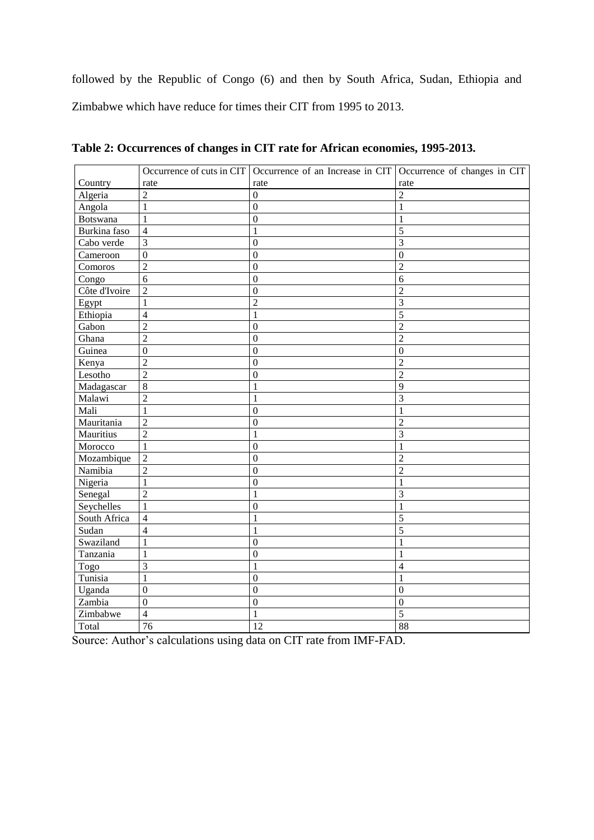followed by the Republic of Congo (6) and then by South Africa, Sudan, Ethiopia and Zimbabwe which have reduce for times their CIT from 1995 to 2013.

|               |                  | Occurrence of cuts in CIT Occurrence of an Increase in CIT Occurrence of changes in CIT |                  |
|---------------|------------------|-----------------------------------------------------------------------------------------|------------------|
| Country       | rate             | rate                                                                                    | rate             |
| Algeria       | $\overline{2}$   | $\overline{0}$                                                                          | $\overline{2}$   |
| Angola        | $\mathbf{1}$     | $\overline{0}$                                                                          | $\mathbf{1}$     |
| Botswana      | 1                | $\overline{0}$                                                                          | 1                |
| Burkina faso  | $\overline{4}$   | 1                                                                                       | 5                |
| Cabo verde    | 3                | 0                                                                                       | 3                |
| Cameroon      | $\boldsymbol{0}$ | $\boldsymbol{0}$                                                                        | $\boldsymbol{0}$ |
| Comoros       | $\overline{c}$   | $\mathbf{0}$                                                                            | $\overline{c}$   |
| Congo         | 6                | $\boldsymbol{0}$                                                                        | 6                |
| Côte d'Ivoire | $\overline{2}$   | $\overline{0}$                                                                          | $\overline{2}$   |
| Egypt         | $\mathbf{1}$     | $\overline{c}$                                                                          | 3                |
| Ethiopia      | $\overline{4}$   | $\mathbf{1}$                                                                            | 5                |
| Gabon         | $\overline{2}$   | $\mathbf{0}$                                                                            | $\overline{2}$   |
| Ghana         | $\overline{2}$   | $\overline{0}$                                                                          | $\overline{2}$   |
| Guinea        | 0                | $\boldsymbol{0}$                                                                        | $\boldsymbol{0}$ |
| Kenya         | $\overline{2}$   | $\boldsymbol{0}$                                                                        | $\overline{c}$   |
| Lesotho       | $\overline{c}$   | $\boldsymbol{0}$                                                                        | $\overline{2}$   |
| Madagascar    | 8                |                                                                                         | 9                |
| Malawi        | $\overline{c}$   |                                                                                         | 3                |
| Mali          | 1                | $\mathbf{0}$                                                                            | 1                |
| Mauritania    | $\overline{2}$   | $\overline{0}$                                                                          | $\overline{2}$   |
| Mauritius     | $\overline{2}$   |                                                                                         | 3                |
| Morocco       | $\mathbf{1}$     | $\overline{0}$                                                                          | $\mathbf{1}$     |
| Mozambique    | $\overline{2}$   | $\overline{0}$                                                                          | $\overline{2}$   |
| Namibia       | $\overline{2}$   | $\mathbf{0}$                                                                            | $\overline{2}$   |
| Nigeria       | 1                | $\theta$                                                                                | 1                |
| Senegal       | $\overline{c}$   | 1                                                                                       | 3                |
| Seychelles    | 1                | $\boldsymbol{0}$                                                                        | 1                |
| South Africa  | $\overline{4}$   | 1                                                                                       | 5                |
| Sudan         | $\overline{4}$   | $\mathbf{1}$                                                                            | 5                |
| Swaziland     | 1                | $\boldsymbol{0}$                                                                        |                  |
| Tanzania      | $\mathbf{1}$     | $\boldsymbol{0}$                                                                        | 1                |
| Togo          | $\overline{3}$   | $\mathbf{1}$                                                                            | $\overline{4}$   |
| Tunisia       | 1                | $\mathbf{0}$                                                                            | 1                |
| Uganda        | $\mathbf{0}$     | $\overline{0}$                                                                          | $\overline{0}$   |
| Zambia        | $\boldsymbol{0}$ | $\mathbf{0}$                                                                            | $\mathbf{0}$     |
| Zimbabwe      | $\overline{4}$   | 1                                                                                       | 5                |
| Total         | 76               | 12                                                                                      | 88               |

**Table 2: Occurrences of changes in CIT rate for African economies, 1995-2013.**

Source: Author's calculations using data on CIT rate from IMF-FAD.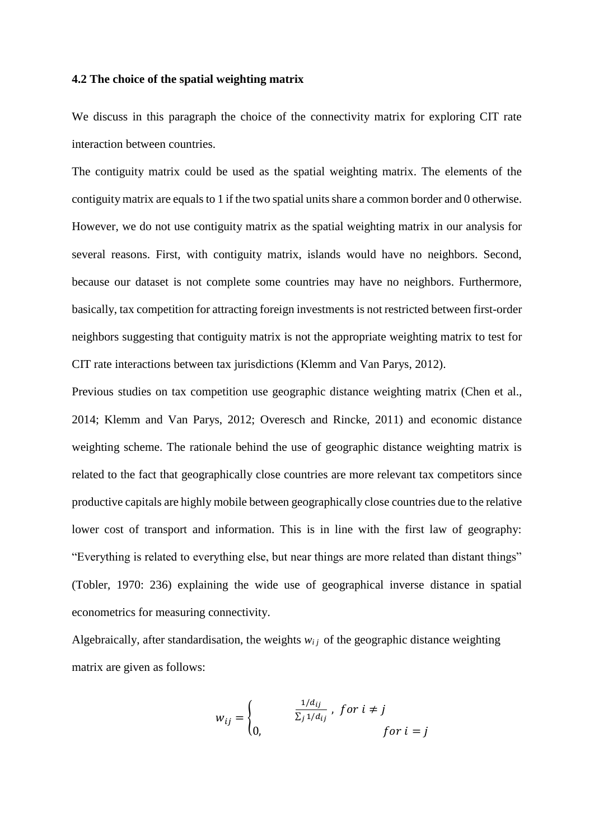### **4.2 The choice of the spatial weighting matrix**

We discuss in this paragraph the choice of the connectivity matrix for exploring CIT rate interaction between countries.

The contiguity matrix could be used as the spatial weighting matrix. The elements of the contiguity matrix are equals to 1 if the two spatial units share a common border and 0 otherwise. However, we do not use contiguity matrix as the spatial weighting matrix in our analysis for several reasons. First, with contiguity matrix, islands would have no neighbors. Second, because our dataset is not complete some countries may have no neighbors. Furthermore, basically, tax competition for attracting foreign investments is not restricted between first-order neighbors suggesting that contiguity matrix is not the appropriate weighting matrix to test for CIT rate interactions between tax jurisdictions (Klemm and Van Parys, 2012).

Previous studies on tax competition use geographic distance weighting matrix (Chen et al., 2014; Klemm and Van Parys, 2012; Overesch and Rincke, 2011) and economic distance weighting scheme. The rationale behind the use of geographic distance weighting matrix is related to the fact that geographically close countries are more relevant tax competitors since productive capitals are highly mobile between geographically close countries due to the relative lower cost of transport and information. This is in line with the first law of geography: "Everything is related to everything else, but near things are more related than distant things" (Tobler, 1970: 236) explaining the wide use of geographical inverse distance in spatial econometrics for measuring connectivity.

Algebraically, after standardisation, the weights  $w_{i,j}$  of the geographic distance weighting matrix are given as follows:

$$
w_{ij} = \begin{cases} \frac{1/d_{ij}}{\sum_j 1/d_{ij}}, & \text{for } i \neq j \\ 0, & \text{for } i = j \end{cases}
$$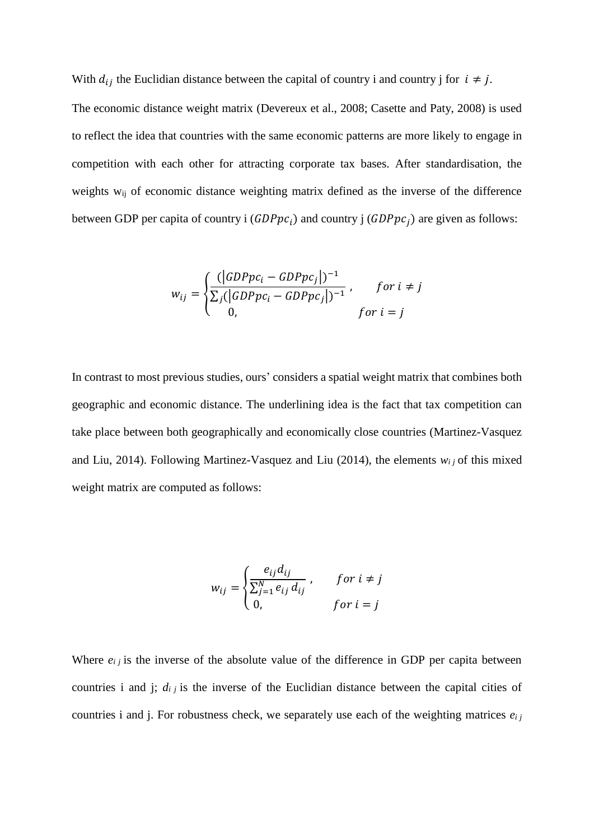With  $d_{ij}$  the Euclidian distance between the capital of country i and country j for  $i \neq j$ .

The economic distance weight matrix (Devereux et al., 2008; Casette and Paty, 2008) is used to reflect the idea that countries with the same economic patterns are more likely to engage in competition with each other for attracting corporate tax bases. After standardisation, the weights w<sub>ij</sub> of economic distance weighting matrix defined as the inverse of the difference between GDP per capita of country i  $(GDPpc<sub>i</sub>)$  and country j  $(GDPpc<sub>i</sub>)$  are given as follows:

$$
w_{ij} = \begin{cases} \frac{(\vert GDPpc_i - GDPpc_j \vert)^{-1}}{\sum_j (\vert GDPpc_i - GDPpc_j \vert)^{-1}}, & \text{for } i \neq j \\ 0, & \text{for } i = j \end{cases}
$$

In contrast to most previous studies, ours' considers a spatial weight matrix that combines both geographic and economic distance. The underlining idea is the fact that tax competition can take place between both geographically and economically close countries (Martinez-Vasquez and Liu, 2014). Following Martinez-Vasquez and Liu (2014), the elements  $w_i$  of this mixed weight matrix are computed as follows:

$$
w_{ij} = \begin{cases} \frac{e_{ij}d_{ij}}{\sum_{j=1}^{N} e_{ij}d_{ij}}, & \text{for } i \neq j\\ 0, & \text{for } i = j \end{cases}
$$

Where  $e_{ij}$  is the inverse of the absolute value of the difference in GDP per capita between countries i and j;  $d_{ij}$  is the inverse of the Euclidian distance between the capital cities of countries i and j. For robustness check, we separately use each of the weighting matrices *ei j*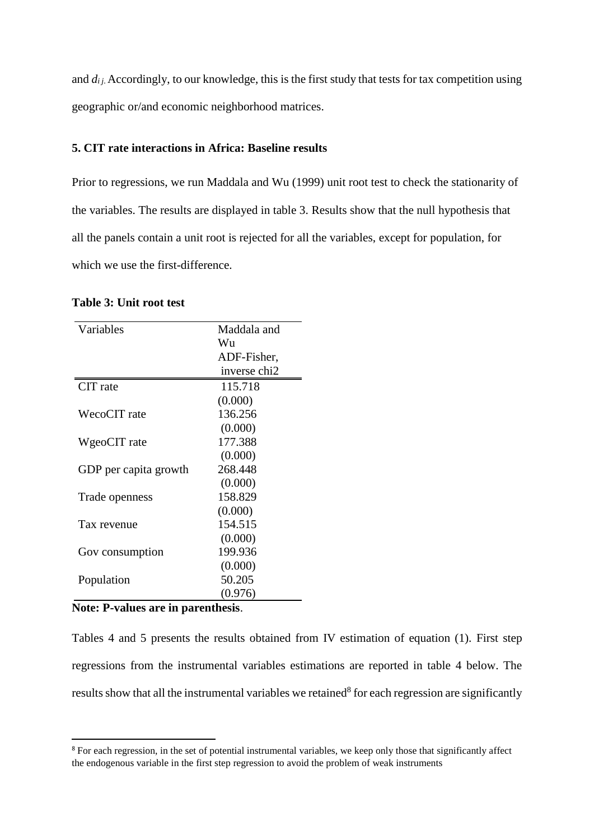and  $d_{i j}$ . Accordingly, to our knowledge, this is the first study that tests for tax competition using geographic or/and economic neighborhood matrices.

### **5. CIT rate interactions in Africa: Baseline results**

Prior to regressions, we run Maddala and Wu (1999) unit root test to check the stationarity of the variables. The results are displayed in table 3. Results show that the null hypothesis that all the panels contain a unit root is rejected for all the variables, except for population, for which we use the first-difference.

### **Table 3: Unit root test**

| Variables             | Maddala and  |
|-----------------------|--------------|
|                       | Wu           |
|                       | ADF-Fisher,  |
|                       | inverse chi2 |
| CIT rate              | 115.718      |
|                       | (0.000)      |
| WecoCIT rate          | 136.256      |
|                       | (0.000)      |
| WgeoCIT rate          | 177.388      |
|                       | (0.000)      |
| GDP per capita growth | 268.448      |
|                       | (0.000)      |
| Trade openness        | 158.829      |
|                       | (0.000)      |
| Tax revenue           | 154.515      |
|                       | (0.000)      |
| Gov consumption       | 199.936      |
|                       | (0.000)      |
| Population            | 50.205       |
|                       | (0.976)      |

### **Note: P-values are in parenthesis**.

1

Tables 4 and 5 presents the results obtained from IV estimation of equation (1). First step regressions from the instrumental variables estimations are reported in table 4 below. The results show that all the instrumental variables we retained<sup>8</sup> for each regression are significantly

<sup>&</sup>lt;sup>8</sup> For each regression, in the set of potential instrumental variables, we keep only those that significantly affect the endogenous variable in the first step regression to avoid the problem of weak instruments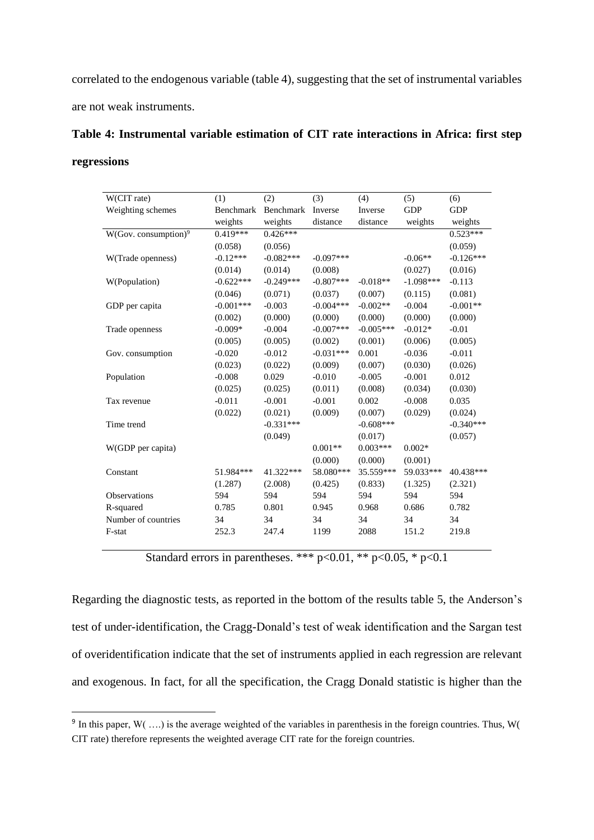correlated to the endogenous variable (table 4), suggesting that the set of instrumental variables are not weak instruments.

|             | Table 4: Instrumental variable estimation of CIT rate interactions in Africa: first step |  |  |  |  |
|-------------|------------------------------------------------------------------------------------------|--|--|--|--|
| regressions |                                                                                          |  |  |  |  |

| W(CIT rate)                      | (1)         | (2)         | (3)          | (4)         | (5)         | (6)         |
|----------------------------------|-------------|-------------|--------------|-------------|-------------|-------------|
| Weighting schemes                | Benchmark   | Benchmark   | Inverse      | Inverse     | <b>GDP</b>  | <b>GDP</b>  |
|                                  | weights     | weights     | distance     | distance    | weights     | weights     |
| W(Gov. consumption) <sup>9</sup> | $0.419***$  | $0.426***$  |              |             |             | $0.523***$  |
|                                  | (0.058)     | (0.056)     |              |             |             | (0.059)     |
| W(Trade openness)                | $-0.12***$  | $-0.082***$ | $-0.097***$  |             | $-0.06**$   | $-0.126***$ |
|                                  | (0.014)     | (0.014)     | (0.008)      |             | (0.027)     | (0.016)     |
| W(Population)                    | $-0.622***$ | $-0.249***$ | $-0.807***$  | $-0.018**$  | $-1.098***$ | $-0.113$    |
|                                  | (0.046)     | (0.071)     | (0.037)      | (0.007)     | (0.115)     | (0.081)     |
| GDP per capita                   | $-0.001***$ | $-0.003$    | $-0.004***$  | $-0.002**$  | $-0.004$    | $-0.001**$  |
|                                  | (0.002)     | (0.000)     | (0.000)      | (0.000)     | (0.000)     | (0.000)     |
| Trade openness                   | $-0.009*$   | $-0.004$    | $-0.007$ *** | $-0.005***$ | $-0.012*$   | $-0.01$     |
|                                  | (0.005)     | (0.005)     | (0.002)      | (0.001)     | (0.006)     | (0.005)     |
| Gov. consumption                 | $-0.020$    | $-0.012$    | $-0.031***$  | 0.001       | $-0.036$    | $-0.011$    |
|                                  | (0.023)     | (0.022)     | (0.009)      | (0.007)     | (0.030)     | (0.026)     |
| Population                       | $-0.008$    | 0.029       | $-0.010$     | $-0.005$    | $-0.001$    | 0.012       |
|                                  | (0.025)     | (0.025)     | (0.011)      | (0.008)     | (0.034)     | (0.030)     |
| Tax revenue                      | $-0.011$    | $-0.001$    | $-0.001$     | 0.002       | $-0.008$    | 0.035       |
|                                  | (0.022)     | (0.021)     | (0.009)      | (0.007)     | (0.029)     | (0.024)     |
| Time trend                       |             | $-0.331***$ |              | $-0.608***$ |             | $-0.340***$ |
|                                  |             | (0.049)     |              | (0.017)     |             | (0.057)     |
| W(GDP per capita)                |             |             | $0.001**$    | $0.003***$  | $0.002*$    |             |
|                                  |             |             | (0.000)      | (0.000)     | (0.001)     |             |
| Constant                         | 51.984***   | 41.322***   | 58.080***    | 35.559***   | 59.033***   | 40.438***   |
|                                  | (1.287)     | (2.008)     | (0.425)      | (0.833)     | (1.325)     | (2.321)     |
| Observations                     | 594         | 594         | 594          | 594         | 594         | 594         |
| R-squared                        | 0.785       | 0.801       | 0.945        | 0.968       | 0.686       | 0.782       |
| Number of countries              | 34          | 34          | 34           | 34          | 34          | 34          |
| F-stat                           | 252.3       | 247.4       | 1199         | 2088        | 151.2       | 219.8       |

Standard errors in parentheses. \*\*\*  $p<0.01$ , \*\*  $p<0.05$ , \*  $p<0.1$ 

Regarding the diagnostic tests, as reported in the bottom of the results table 5, the Anderson's test of under-identification, the Cragg-Donald's test of weak identification and the Sargan test of overidentification indicate that the set of instruments applied in each regression are relevant and exogenous. In fact, for all the specification, the Cragg Donald statistic is higher than the

**.** 

<sup>&</sup>lt;sup>9</sup> In this paper,  $W($ ...) is the average weighted of the variables in parenthesis in the foreign countries. Thus,  $W($ CIT rate) therefore represents the weighted average CIT rate for the foreign countries.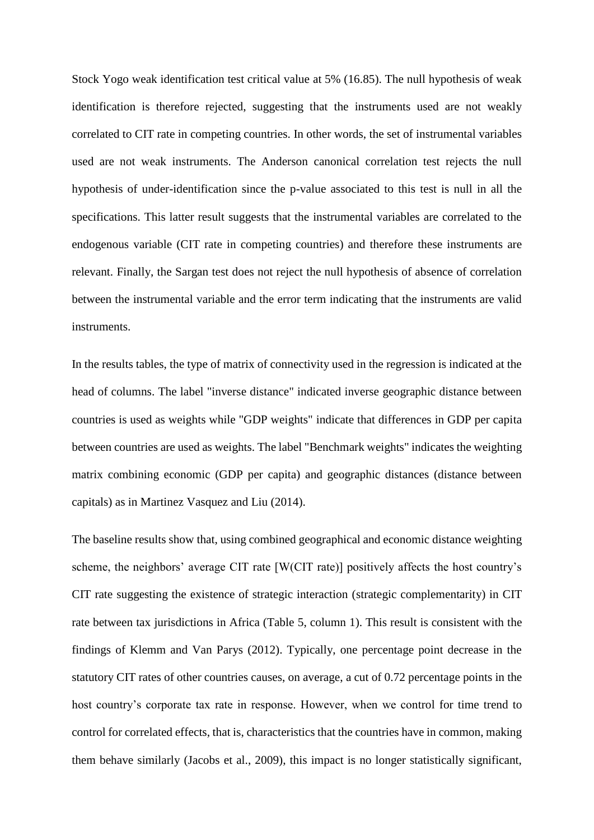Stock Yogo weak identification test critical value at 5% (16.85). The null hypothesis of weak identification is therefore rejected, suggesting that the instruments used are not weakly correlated to CIT rate in competing countries. In other words, the set of instrumental variables used are not weak instruments. The Anderson canonical correlation test rejects the null hypothesis of under-identification since the p-value associated to this test is null in all the specifications. This latter result suggests that the instrumental variables are correlated to the endogenous variable (CIT rate in competing countries) and therefore these instruments are relevant. Finally, the Sargan test does not reject the null hypothesis of absence of correlation between the instrumental variable and the error term indicating that the instruments are valid instruments.

In the results tables, the type of matrix of connectivity used in the regression is indicated at the head of columns. The label "inverse distance" indicated inverse geographic distance between countries is used as weights while "GDP weights" indicate that differences in GDP per capita between countries are used as weights. The label "Benchmark weights" indicates the weighting matrix combining economic (GDP per capita) and geographic distances (distance between capitals) as in Martinez Vasquez and Liu (2014).

The baseline results show that, using combined geographical and economic distance weighting scheme, the neighbors' average CIT rate [W(CIT rate)] positively affects the host country's CIT rate suggesting the existence of strategic interaction (strategic complementarity) in CIT rate between tax jurisdictions in Africa (Table 5, column 1). This result is consistent with the findings of Klemm and Van Parys (2012). Typically, one percentage point decrease in the statutory CIT rates of other countries causes, on average, a cut of 0.72 percentage points in the host country's corporate tax rate in response. However, when we control for time trend to control for correlated effects, that is, characteristics that the countries have in common, making them behave similarly (Jacobs et al., 2009), this impact is no longer statistically significant,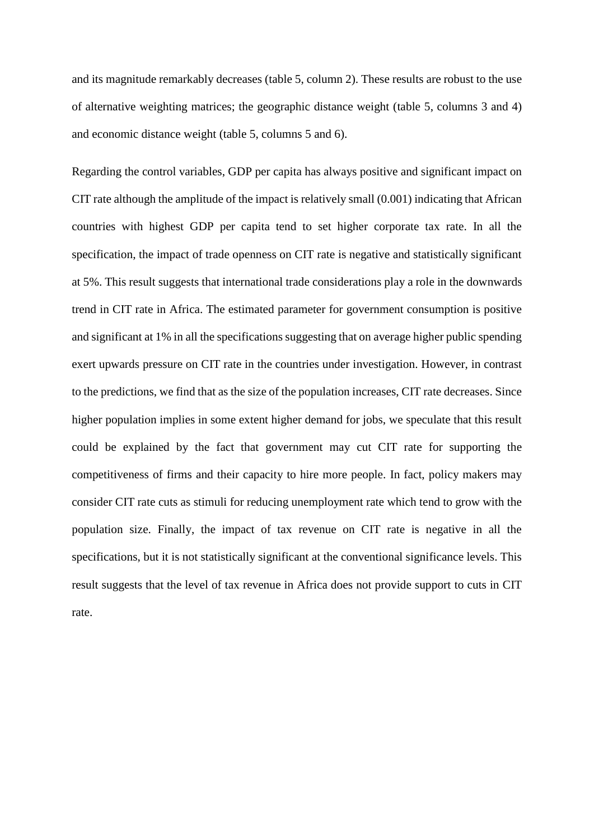and its magnitude remarkably decreases (table 5, column 2). These results are robust to the use of alternative weighting matrices; the geographic distance weight (table 5, columns 3 and 4) and economic distance weight (table 5, columns 5 and 6).

Regarding the control variables, GDP per capita has always positive and significant impact on CIT rate although the amplitude of the impact is relatively small (0.001) indicating that African countries with highest GDP per capita tend to set higher corporate tax rate. In all the specification, the impact of trade openness on CIT rate is negative and statistically significant at 5%. This result suggests that international trade considerations play a role in the downwards trend in CIT rate in Africa. The estimated parameter for government consumption is positive and significant at 1% in all the specifications suggesting that on average higher public spending exert upwards pressure on CIT rate in the countries under investigation. However, in contrast to the predictions, we find that as the size of the population increases, CIT rate decreases. Since higher population implies in some extent higher demand for jobs, we speculate that this result could be explained by the fact that government may cut CIT rate for supporting the competitiveness of firms and their capacity to hire more people. In fact, policy makers may consider CIT rate cuts as stimuli for reducing unemployment rate which tend to grow with the population size. Finally, the impact of tax revenue on CIT rate is negative in all the specifications, but it is not statistically significant at the conventional significance levels. This result suggests that the level of tax revenue in Africa does not provide support to cuts in CIT rate.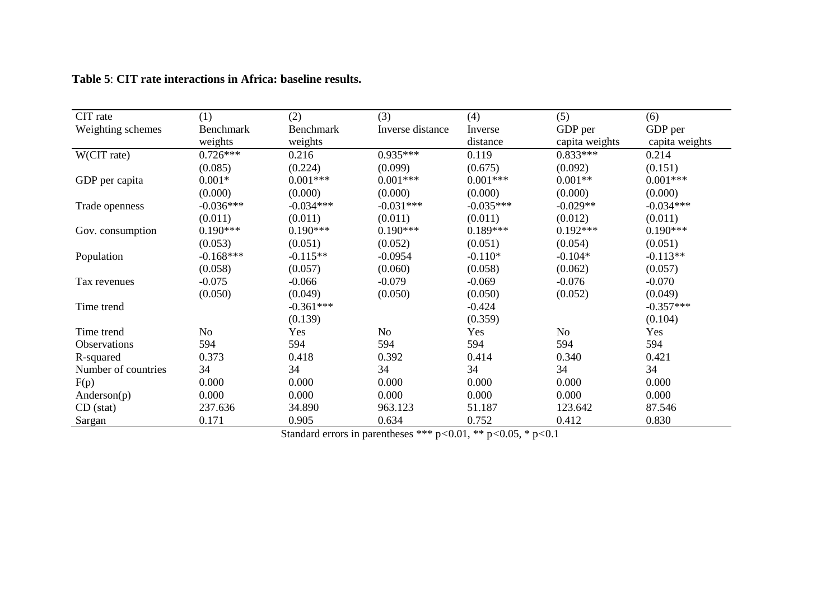| CIT rate            | (1)            | (2)         | (3)              | (4)         | (5)            | (6)            |
|---------------------|----------------|-------------|------------------|-------------|----------------|----------------|
|                     | Benchmark      | Benchmark   | Inverse distance |             | GDP per        |                |
| Weighting schemes   |                |             |                  | Inverse     |                | GDP per        |
|                     | weights        | weights     |                  | distance    | capita weights | capita weights |
| W(CIT rate)         | $0.726***$     | 0.216       | $0.935***$       | 0.119       | $0.833***$     | 0.214          |
|                     | (0.085)        | (0.224)     | (0.099)          | (0.675)     | (0.092)        | (0.151)        |
| GDP per capita      | $0.001*$       | $0.001***$  | $0.001***$       | $0.001***$  | $0.001**$      | $0.001***$     |
|                     | (0.000)        | (0.000)     | (0.000)          | (0.000)     | (0.000)        | (0.000)        |
| Trade openness      | $-0.036***$    | $-0.034***$ | $-0.031***$      | $-0.035***$ | $-0.029**$     | $-0.034***$    |
|                     | (0.011)        | (0.011)     | (0.011)          | (0.011)     | (0.012)        | (0.011)        |
| Gov. consumption    | $0.190***$     | $0.190***$  | $0.190***$       | $0.189***$  | $0.192***$     | $0.190***$     |
|                     | (0.053)        | (0.051)     | (0.052)          | (0.051)     | (0.054)        | (0.051)        |
| Population          | $-0.168***$    | $-0.115**$  | $-0.0954$        | $-0.110*$   | $-0.104*$      | $-0.113**$     |
|                     | (0.058)        | (0.057)     | (0.060)          | (0.058)     | (0.062)        | (0.057)        |
| Tax revenues        | $-0.075$       | $-0.066$    | $-0.079$         | $-0.069$    | $-0.076$       | $-0.070$       |
|                     | (0.050)        | (0.049)     | (0.050)          | (0.050)     | (0.052)        | (0.049)        |
| Time trend          |                | $-0.361***$ |                  | $-0.424$    |                | $-0.357***$    |
|                     |                | (0.139)     |                  | (0.359)     |                | (0.104)        |
| Time trend          | N <sub>o</sub> | Yes         | No               | Yes         | No             | Yes            |
| Observations        | 594            | 594         | 594              | 594         | 594            | 594            |
| R-squared           | 0.373          | 0.418       | 0.392            | 0.414       | 0.340          | 0.421          |
| Number of countries | 34             | 34          | 34               | 34          | 34             | 34             |
| F(p)                | 0.000          | 0.000       | 0.000            | 0.000       | 0.000          | 0.000          |
| Anderson(p)         | 0.000          | 0.000       | 0.000            | 0.000       | 0.000          | 0.000          |
| $CD$ (stat)         | 237.636        | 34.890      | 963.123          | 51.187      | 123.642        | 87.546         |
| Sargan              | 0.171          | 0.905       | 0.634            | 0.752       | 0.412          | 0.830          |

# **Table 5**: **CIT rate interactions in Africa: baseline results.**

Standard errors in parentheses \*\*\* p*<*0.01, \*\* p*<*0.05, \* p*<*0.1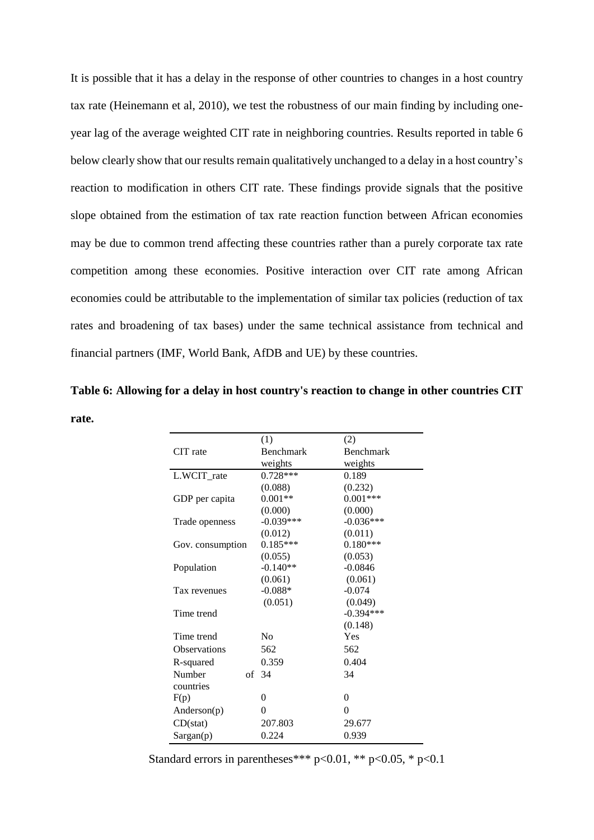It is possible that it has a delay in the response of other countries to changes in a host country tax rate (Heinemann et al, 2010), we test the robustness of our main finding by including oneyear lag of the average weighted CIT rate in neighboring countries. Results reported in table 6 below clearly show that our results remain qualitatively unchanged to a delay in a host country's reaction to modification in others CIT rate. These findings provide signals that the positive slope obtained from the estimation of tax rate reaction function between African economies may be due to common trend affecting these countries rather than a purely corporate tax rate competition among these economies. Positive interaction over CIT rate among African economies could be attributable to the implementation of similar tax policies (reduction of tax rates and broadening of tax bases) under the same technical assistance from technical and financial partners (IMF, World Bank, AfDB and UE) by these countries.

**Table 6: Allowing for a delay in host country's reaction to change in other countries CIT rate.**

|                     | (1)            | (2)              |
|---------------------|----------------|------------------|
| CIT rate            | Benchmark      | <b>Benchmark</b> |
|                     | weights        | weights          |
| L.WCIT_rate         | $0.728***$     | 0.189            |
|                     | (0.088)        | (0.232)          |
| GDP per capita      | $0.001**$      | $0.001***$       |
|                     | (0.000)        | (0.000)          |
| Trade openness      | $-0.039***$    | $-0.036***$      |
|                     | (0.012)        | (0.011)          |
| Gov. consumption    | $0.185***$     | $0.180***$       |
|                     | (0.055)        | (0.053)          |
| Population          | $-0.140**$     | $-0.0846$        |
|                     | (0.061)        | (0.061)          |
| Tax revenues        | $-0.088*$      | $-0.074$         |
|                     | (0.051)        | (0.049)          |
| Time trend          |                | $-0.394***$      |
|                     |                | (0.148)          |
| Time trend          | N <sub>0</sub> | Yes              |
| <b>Observations</b> | 562            | 562              |
| R-squared           | 0.359          | 0.404            |
| Number              | of $34$        | 34               |
| countries           |                |                  |
| F(p)                | 0              | 0                |
| Anderson(p)         | 0              | 0                |
| CD(stat)            | 207.803        | 29.677           |
| Sargan(p)           | 0.224          | 0.939            |

Standard errors in parentheses\*\*\*  $p<0.01$ , \*\*  $p<0.05$ , \*  $p<0.1$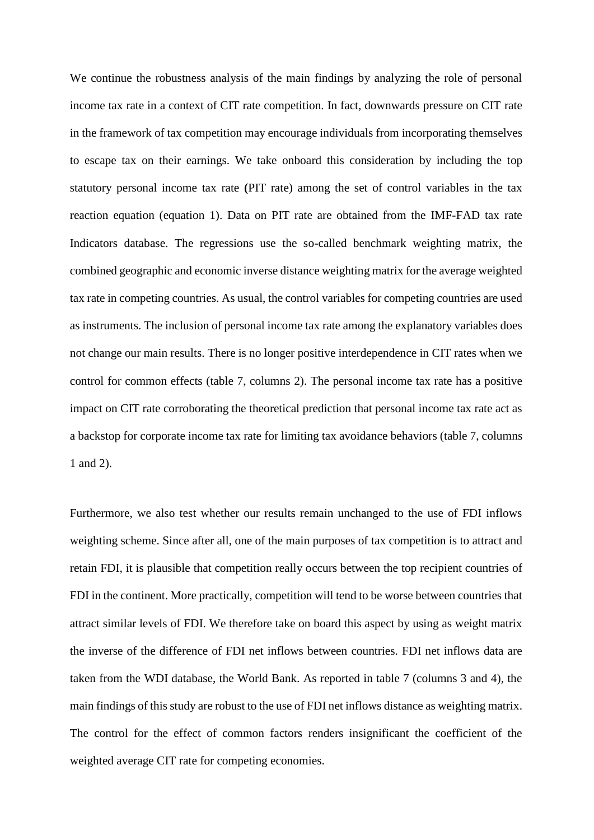We continue the robustness analysis of the main findings by analyzing the role of personal income tax rate in a context of CIT rate competition. In fact, downwards pressure on CIT rate in the framework of tax competition may encourage individuals from incorporating themselves to escape tax on their earnings. We take onboard this consideration by including the top statutory personal income tax rate **(**PIT rate) among the set of control variables in the tax reaction equation (equation 1). Data on PIT rate are obtained from the IMF-FAD tax rate Indicators database. The regressions use the so-called benchmark weighting matrix, the combined geographic and economic inverse distance weighting matrix for the average weighted tax rate in competing countries. As usual, the control variables for competing countries are used as instruments. The inclusion of personal income tax rate among the explanatory variables does not change our main results. There is no longer positive interdependence in CIT rates when we control for common effects (table 7, columns 2). The personal income tax rate has a positive impact on CIT rate corroborating the theoretical prediction that personal income tax rate act as a backstop for corporate income tax rate for limiting tax avoidance behaviors (table 7, columns 1 and 2).

Furthermore, we also test whether our results remain unchanged to the use of FDI inflows weighting scheme. Since after all, one of the main purposes of tax competition is to attract and retain FDI, it is plausible that competition really occurs between the top recipient countries of FDI in the continent. More practically, competition will tend to be worse between countries that attract similar levels of FDI. We therefore take on board this aspect by using as weight matrix the inverse of the difference of FDI net inflows between countries. FDI net inflows data are taken from the WDI database, the World Bank. As reported in table 7 (columns 3 and 4), the main findings of this study are robust to the use of FDI net inflows distance as weighting matrix. The control for the effect of common factors renders insignificant the coefficient of the weighted average CIT rate for competing economies.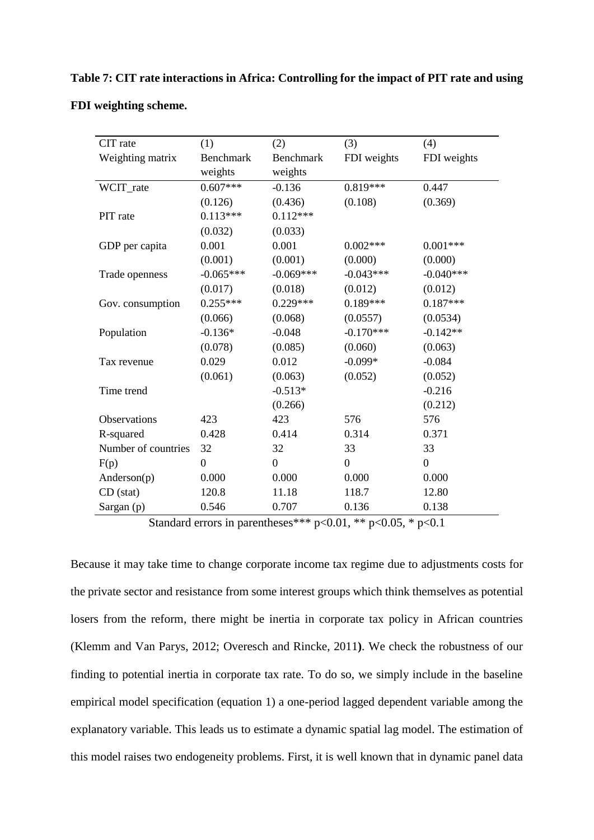| CIT rate            | (1)              | (2)              | (3)              | (4)              |
|---------------------|------------------|------------------|------------------|------------------|
| Weighting matrix    | <b>Benchmark</b> | <b>Benchmark</b> | FDI weights      | FDI weights      |
|                     | weights          | weights          |                  |                  |
| WCIT_rate           | $0.607***$       | $-0.136$         | $0.819***$       | 0.447            |
|                     | (0.126)          | (0.436)          | (0.108)          | (0.369)          |
| PIT rate            | $0.113***$       | $0.112***$       |                  |                  |
|                     | (0.032)          | (0.033)          |                  |                  |
| GDP per capita      | 0.001            | 0.001            | $0.002***$       | $0.001***$       |
|                     | (0.001)          | (0.001)          | (0.000)          | (0.000)          |
| Trade openness      | $-0.065***$      | $-0.069***$      | $-0.043***$      | $-0.040***$      |
|                     | (0.017)          | (0.018)          | (0.012)          | (0.012)          |
| Gov. consumption    | $0.255***$       | $0.229***$       | $0.189***$       | $0.187***$       |
|                     | (0.066)          | (0.068)          | (0.0557)         | (0.0534)         |
| Population          | $-0.136*$        | $-0.048$         | $-0.170***$      | $-0.142**$       |
|                     | (0.078)          | (0.085)          | (0.060)          | (0.063)          |
| Tax revenue         | 0.029            | 0.012            | $-0.099*$        | $-0.084$         |
|                     | (0.061)          | (0.063)          | (0.052)          | (0.052)          |
| Time trend          |                  | $-0.513*$        |                  | $-0.216$         |
|                     |                  | (0.266)          |                  | (0.212)          |
| Observations        | 423              | 423              | 576              | 576              |
| R-squared           | 0.428            | 0.414            | 0.314            | 0.371            |
| Number of countries | 32               | 32               | 33               | 33               |
| F(p)                | $\overline{0}$   | $\overline{0}$   | $\boldsymbol{0}$ | $\boldsymbol{0}$ |
| Anderson(p)         | 0.000            | 0.000            | 0.000            | 0.000            |
| $CD$ (stat)         | 120.8            | 11.18            | 118.7            | 12.80            |
| Sargan (p)          | 0.546            | 0.707            | 0.136            | 0.138            |

### **FDI weighting scheme.**

Standard errors in parentheses\*\*\*  $p<0.01$ , \*\*  $p<0.05$ , \*  $p<0.1$ 

Because it may take time to change corporate income tax regime due to adjustments costs for the private sector and resistance from some interest groups which think themselves as potential losers from the reform, there might be inertia in corporate tax policy in African countries (Klemm and Van Parys, 2012; Overesch and Rincke, 2011**)**. We check the robustness of our finding to potential inertia in corporate tax rate. To do so, we simply include in the baseline empirical model specification (equation 1) a one-period lagged dependent variable among the explanatory variable. This leads us to estimate a dynamic spatial lag model. The estimation of this model raises two endogeneity problems. First, it is well known that in dynamic panel data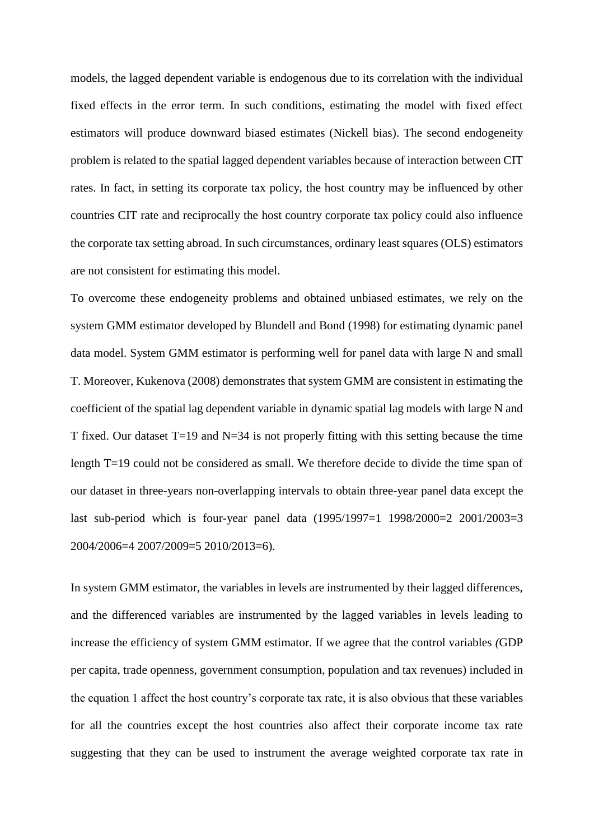models, the lagged dependent variable is endogenous due to its correlation with the individual fixed effects in the error term. In such conditions, estimating the model with fixed effect estimators will produce downward biased estimates (Nickell bias). The second endogeneity problem is related to the spatial lagged dependent variables because of interaction between CIT rates. In fact, in setting its corporate tax policy, the host country may be influenced by other countries CIT rate and reciprocally the host country corporate tax policy could also influence the corporate tax setting abroad. In such circumstances, ordinary least squares (OLS) estimators are not consistent for estimating this model.

To overcome these endogeneity problems and obtained unbiased estimates, we rely on the system GMM estimator developed by Blundell and Bond (1998) for estimating dynamic panel data model. System GMM estimator is performing well for panel data with large N and small T. Moreover, Kukenova (2008) demonstrates that system GMM are consistent in estimating the coefficient of the spatial lag dependent variable in dynamic spatial lag models with large N and T fixed. Our dataset T=19 and N=34 is not properly fitting with this setting because the time length T=19 could not be considered as small. We therefore decide to divide the time span of our dataset in three-years non-overlapping intervals to obtain three-year panel data except the last sub-period which is four-year panel data (1995/1997=1 1998/2000=2 2001/2003=3 2004/2006=4 2007/2009=5 2010/2013=6).

In system GMM estimator, the variables in levels are instrumented by their lagged differences, and the differenced variables are instrumented by the lagged variables in levels leading to increase the efficiency of system GMM estimator*.* If we agree that the control variables *(*GDP per capita, trade openness, government consumption, population and tax revenues) included in the equation 1 affect the host country's corporate tax rate, it is also obvious that these variables for all the countries except the host countries also affect their corporate income tax rate suggesting that they can be used to instrument the average weighted corporate tax rate in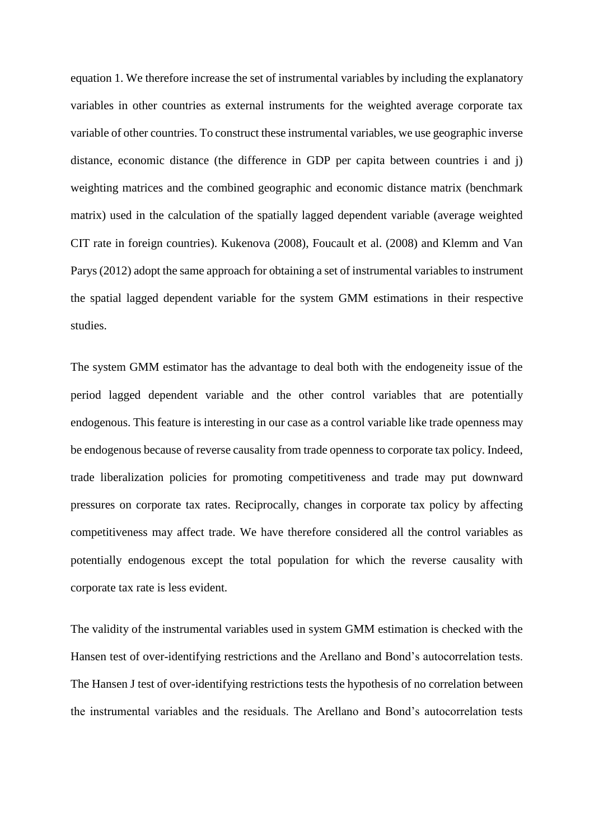equation 1. We therefore increase the set of instrumental variables by including the explanatory variables in other countries as external instruments for the weighted average corporate tax variable of other countries. To construct these instrumental variables, we use geographic inverse distance, economic distance (the difference in GDP per capita between countries i and j) weighting matrices and the combined geographic and economic distance matrix (benchmark matrix) used in the calculation of the spatially lagged dependent variable (average weighted CIT rate in foreign countries). Kukenova (2008), Foucault et al. (2008) and Klemm and Van Parys (2012) adopt the same approach for obtaining a set of instrumental variables to instrument the spatial lagged dependent variable for the system GMM estimations in their respective studies.

The system GMM estimator has the advantage to deal both with the endogeneity issue of the period lagged dependent variable and the other control variables that are potentially endogenous. This feature is interesting in our case as a control variable like trade openness may be endogenous because of reverse causality from trade openness to corporate tax policy. Indeed, trade liberalization policies for promoting competitiveness and trade may put downward pressures on corporate tax rates. Reciprocally, changes in corporate tax policy by affecting competitiveness may affect trade. We have therefore considered all the control variables as potentially endogenous except the total population for which the reverse causality with corporate tax rate is less evident.

The validity of the instrumental variables used in system GMM estimation is checked with the Hansen test of over-identifying restrictions and the Arellano and Bond's autocorrelation tests. The Hansen J test of over-identifying restrictions tests the hypothesis of no correlation between the instrumental variables and the residuals. The Arellano and Bond's autocorrelation tests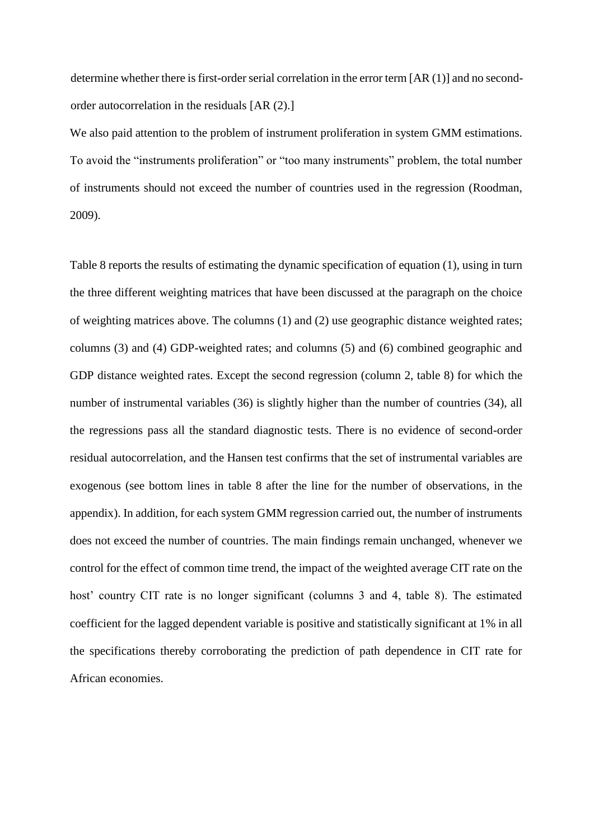determine whether there is first-order serial correlation in the error term [AR (1)] and no secondorder autocorrelation in the residuals [AR (2).]

We also paid attention to the problem of instrument proliferation in system GMM estimations. To avoid the "instruments proliferation" or "too many instruments" problem, the total number of instruments should not exceed the number of countries used in the regression (Roodman, 2009).

Table 8 reports the results of estimating the dynamic specification of equation (1), using in turn the three different weighting matrices that have been discussed at the paragraph on the choice of weighting matrices above. The columns (1) and (2) use geographic distance weighted rates; columns (3) and (4) GDP-weighted rates; and columns (5) and (6) combined geographic and GDP distance weighted rates. Except the second regression (column 2, table 8) for which the number of instrumental variables (36) is slightly higher than the number of countries (34), all the regressions pass all the standard diagnostic tests. There is no evidence of second-order residual autocorrelation, and the Hansen test confirms that the set of instrumental variables are exogenous (see bottom lines in table 8 after the line for the number of observations, in the appendix). In addition, for each system GMM regression carried out, the number of instruments does not exceed the number of countries. The main findings remain unchanged, whenever we control for the effect of common time trend, the impact of the weighted average CIT rate on the host' country CIT rate is no longer significant (columns 3 and 4, table 8). The estimated coefficient for the lagged dependent variable is positive and statistically significant at 1% in all the specifications thereby corroborating the prediction of path dependence in CIT rate for African economies.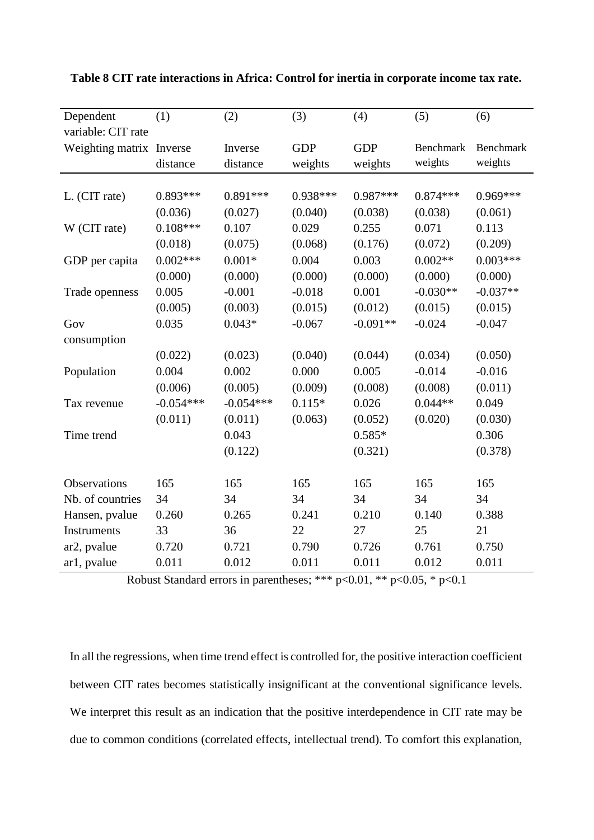| Dependent                | (1)         | (2)         | (3)        | (4)        | (5)              | (6)              |
|--------------------------|-------------|-------------|------------|------------|------------------|------------------|
| variable: CIT rate       |             |             |            |            |                  |                  |
| Weighting matrix Inverse |             | Inverse     | <b>GDP</b> | <b>GDP</b> | <b>Benchmark</b> | <b>Benchmark</b> |
|                          | distance    | distance    | weights    | weights    | weights          | weights          |
|                          |             |             |            |            |                  |                  |
| L. (CIT rate)            | $0.893***$  | $0.891***$  | $0.938***$ | $0.987***$ | $0.874***$       | $0.969***$       |
|                          | (0.036)     | (0.027)     | (0.040)    | (0.038)    | (0.038)          | (0.061)          |
| W (CIT rate)             | $0.108***$  | 0.107       | 0.029      | 0.255      | 0.071            | 0.113            |
|                          | (0.018)     | (0.075)     | (0.068)    | (0.176)    | (0.072)          | (0.209)          |
| GDP per capita           | $0.002***$  | $0.001*$    | 0.004      | 0.003      | $0.002**$        | $0.003***$       |
|                          | (0.000)     | (0.000)     | (0.000)    | (0.000)    | (0.000)          | (0.000)          |
| Trade openness           | 0.005       | $-0.001$    | $-0.018$   | 0.001      | $-0.030**$       | $-0.037**$       |
|                          | (0.005)     | (0.003)     | (0.015)    | (0.012)    | (0.015)          | (0.015)          |
| Gov                      | 0.035       | $0.043*$    | $-0.067$   | $-0.091**$ | $-0.024$         | $-0.047$         |
| consumption              |             |             |            |            |                  |                  |
|                          | (0.022)     | (0.023)     | (0.040)    | (0.044)    | (0.034)          | (0.050)          |
| Population               | 0.004       | 0.002       | 0.000      | 0.005      | $-0.014$         | $-0.016$         |
|                          | (0.006)     | (0.005)     | (0.009)    | (0.008)    | (0.008)          | (0.011)          |
| Tax revenue              | $-0.054***$ | $-0.054***$ | $0.115*$   | 0.026      | $0.044**$        | 0.049            |
|                          | (0.011)     | (0.011)     | (0.063)    | (0.052)    | (0.020)          | (0.030)          |
| Time trend               |             | 0.043       |            | $0.585*$   |                  | 0.306            |
|                          |             | (0.122)     |            | (0.321)    |                  | (0.378)          |
|                          |             |             |            |            |                  |                  |
| Observations             | 165         | 165         | 165        | 165        | 165              | 165              |
| Nb. of countries         | 34          | 34          | 34         | 34         | 34               | 34               |
| Hansen, pvalue           | 0.260       | 0.265       | 0.241      | 0.210      | 0.140            | 0.388            |
| Instruments              | 33          | 36          | 22         | 27         | 25               | 21               |
| ar <sub>2</sub> , pvalue | 0.720       | 0.721       | 0.790      | 0.726      | 0.761            | 0.750            |
| ar1, pvalue              | 0.011       | 0.012       | 0.011      | 0.011      | 0.012            | 0.011            |

**Table 8 CIT rate interactions in Africa: Control for inertia in corporate income tax rate.**

Robust Standard errors in parentheses; \*\*\* p<0.01, \*\* p<0.05, \* p<0.1

In all the regressions, when time trend effect is controlled for, the positive interaction coefficient between CIT rates becomes statistically insignificant at the conventional significance levels. We interpret this result as an indication that the positive interdependence in CIT rate may be due to common conditions (correlated effects, intellectual trend). To comfort this explanation,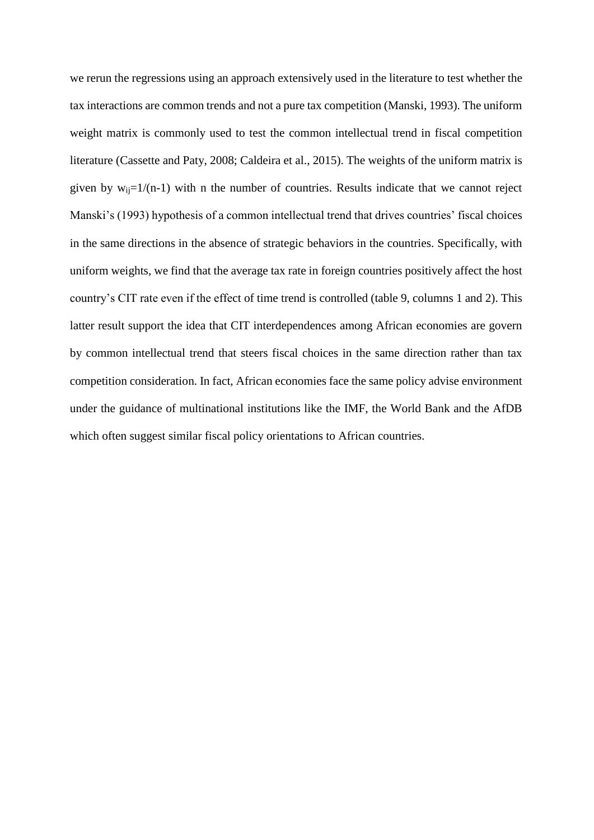we rerun the regressions using an approach extensively used in the literature to test whether the tax interactions are common trends and not a pure tax competition (Manski, 1993). The uniform weight matrix is commonly used to test the common intellectual trend in fiscal competition literature (Cassette and Paty, 2008; Caldeira et al., 2015). The weights of the uniform matrix is given by  $w_{ij}=1/(n-1)$  with n the number of countries. Results indicate that we cannot reject Manski's (1993) hypothesis of a common intellectual trend that drives countries' fiscal choices in the same directions in the absence of strategic behaviors in the countries. Specifically, with uniform weights, we find that the average tax rate in foreign countries positively affect the host country's CIT rate even if the effect of time trend is controlled (table 9, columns 1 and 2). This latter result support the idea that CIT interdependences among African economies are govern by common intellectual trend that steers fiscal choices in the same direction rather than tax competition consideration. In fact, African economies face the same policy advise environment under the guidance of multinational institutions like the IMF, the World Bank and the AfDB which often suggest similar fiscal policy orientations to African countries.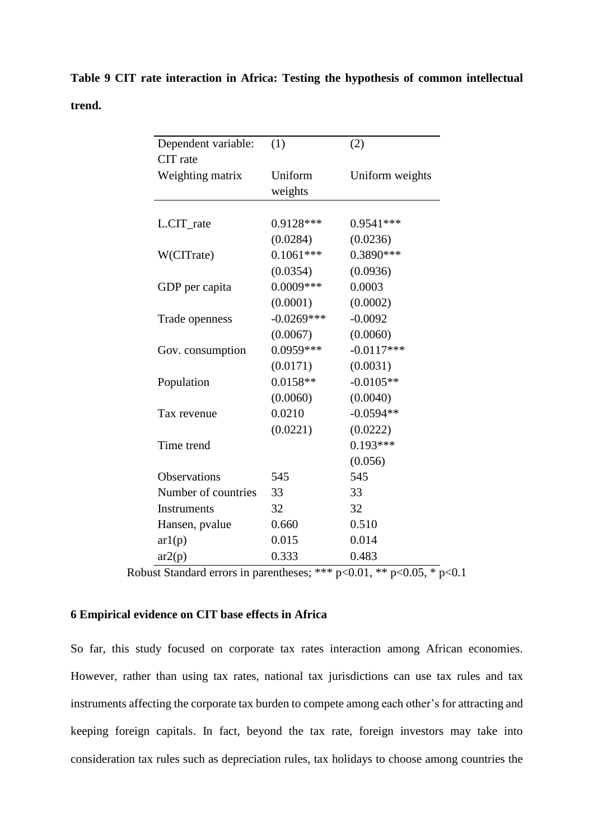**Table 9 CIT rate interaction in Africa: Testing the hypothesis of common intellectual trend.**

| Dependent variable: | (1)          | (2)             |
|---------------------|--------------|-----------------|
| CIT rate            |              |                 |
| Weighting matrix    | Uniform      | Uniform weights |
|                     | weights      |                 |
|                     |              |                 |
| L.CIT_rate          | 0.9128***    | $0.9541***$     |
|                     | (0.0284)     | (0.0236)        |
| W(CITrate)          | $0.1061***$  | 0.3890***       |
|                     | (0.0354)     | (0.0936)        |
| GDP per capita      | $0.0009***$  | 0.0003          |
|                     | (0.0001)     | (0.0002)        |
| Trade openness      | $-0.0269***$ | $-0.0092$       |
|                     | (0.0067)     | (0.0060)        |
| Gov. consumption    | 0.0959***    | $-0.0117***$    |
|                     | (0.0171)     | (0.0031)        |
| Population          | $0.0158**$   | $-0.0105**$     |
|                     | (0.0060)     | (0.0040)        |
| Tax revenue         | 0.0210       | $-0.0594**$     |
|                     | (0.0221)     | (0.0222)        |
| Time trend          |              | $0.193***$      |
|                     |              | (0.056)         |
| Observations        | 545          | 545             |
| Number of countries | 33           | 33              |
| Instruments         | 32           | 32              |
| Hansen, pvalue      | 0.660        | 0.510           |
| ar1(p)              | 0.015        | 0.014           |
| ar2(p)              | 0.333        | 0.483           |

Robust Standard errors in parentheses; \*\*\*  $p<0.01$ , \*\*  $p<0.05$ , \*  $p<0.1$ 

### **6 Empirical evidence on CIT base effects in Africa**

So far, this study focused on corporate tax rates interaction among African economies. However, rather than using tax rates, national tax jurisdictions can use tax rules and tax instruments affecting the corporate tax burden to compete among each other's for attracting and keeping foreign capitals. In fact, beyond the tax rate, foreign investors may take into consideration tax rules such as depreciation rules, tax holidays to choose among countries the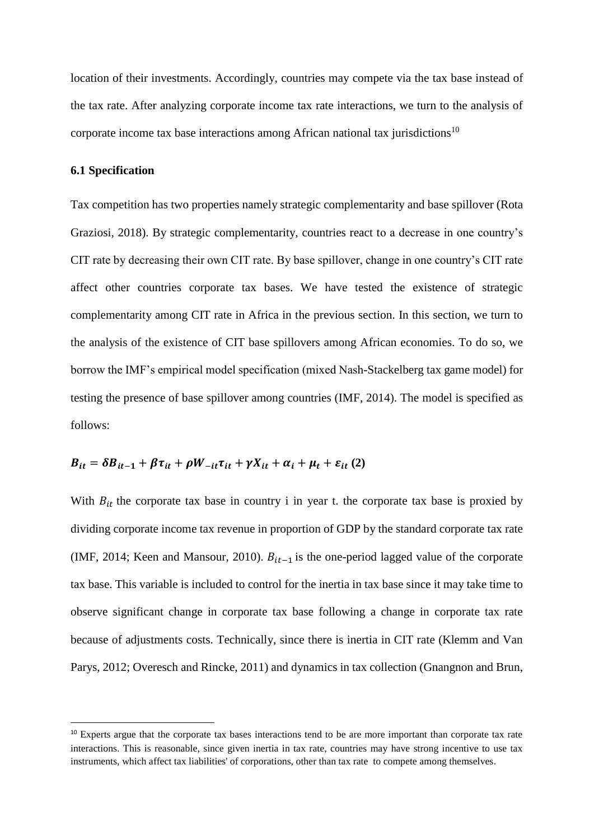location of their investments. Accordingly, countries may compete via the tax base instead of the tax rate. After analyzing corporate income tax rate interactions, we turn to the analysis of corporate income tax base interactions among African national tax jurisdictions<sup>10</sup>

### **6.1 Specification**

 $\overline{a}$ 

Tax competition has two properties namely strategic complementarity and base spillover (Rota Graziosi, 2018). By strategic complementarity, countries react to a decrease in one country's CIT rate by decreasing their own CIT rate. By base spillover, change in one country's CIT rate affect other countries corporate tax bases. We have tested the existence of strategic complementarity among CIT rate in Africa in the previous section. In this section, we turn to the analysis of the existence of CIT base spillovers among African economies. To do so, we borrow the IMF's empirical model specification (mixed Nash-Stackelberg tax game model) for testing the presence of base spillover among countries (IMF, 2014). The model is specified as follows:

$$
B_{it} = \delta B_{it-1} + \beta \tau_{it} + \rho W_{-it} \tau_{it} + \gamma X_{it} + \alpha_i + \mu_t + \varepsilon_{it} (2)
$$

With  $B_{it}$  the corporate tax base in country i in year t. the corporate tax base is proxied by dividing corporate income tax revenue in proportion of GDP by the standard corporate tax rate (IMF, 2014; Keen and Mansour, 2010).  $B_{it-1}$  is the one-period lagged value of the corporate tax base. This variable is included to control for the inertia in tax base since it may take time to observe significant change in corporate tax base following a change in corporate tax rate because of adjustments costs. Technically, since there is inertia in CIT rate (Klemm and Van Parys, 2012; Overesch and Rincke, 2011) and dynamics in tax collection (Gnangnon and Brun,

<sup>&</sup>lt;sup>10</sup> Experts argue that the corporate tax bases interactions tend to be are more important than corporate tax rate interactions. This is reasonable, since given inertia in tax rate, countries may have strong incentive to use tax instruments, which affect tax liabilities' of corporations, other than tax rate to compete among themselves.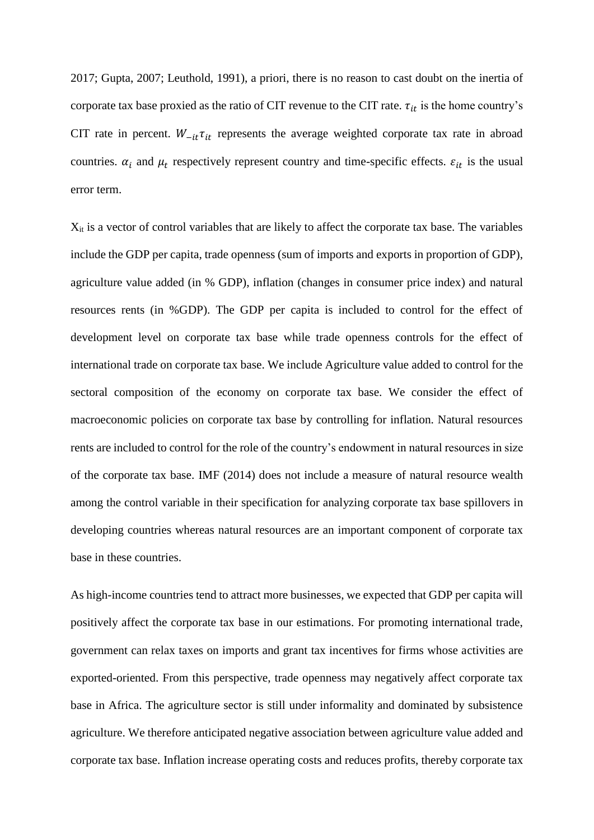2017; Gupta, 2007; Leuthold, 1991), a priori, there is no reason to cast doubt on the inertia of corporate tax base proxied as the ratio of CIT revenue to the CIT rate.  $\tau_{it}$  is the home country's CIT rate in percent.  $W_{-it}\tau_{it}$  represents the average weighted corporate tax rate in abroad countries.  $\alpha_i$  and  $\mu_t$  respectively represent country and time-specific effects.  $\varepsilon_{it}$  is the usual error term.

Xit is a vector of control variables that are likely to affect the corporate tax base. The variables include the GDP per capita, trade openness (sum of imports and exports in proportion of GDP), agriculture value added (in % GDP), inflation (changes in consumer price index) and natural resources rents (in %GDP). The GDP per capita is included to control for the effect of development level on corporate tax base while trade openness controls for the effect of international trade on corporate tax base. We include Agriculture value added to control for the sectoral composition of the economy on corporate tax base. We consider the effect of macroeconomic policies on corporate tax base by controlling for inflation. Natural resources rents are included to control for the role of the country's endowment in natural resources in size of the corporate tax base. IMF (2014) does not include a measure of natural resource wealth among the control variable in their specification for analyzing corporate tax base spillovers in developing countries whereas natural resources are an important component of corporate tax base in these countries.

As high-income countries tend to attract more businesses, we expected that GDP per capita will positively affect the corporate tax base in our estimations. For promoting international trade, government can relax taxes on imports and grant tax incentives for firms whose activities are exported-oriented. From this perspective, trade openness may negatively affect corporate tax base in Africa. The agriculture sector is still under informality and dominated by subsistence agriculture. We therefore anticipated negative association between agriculture value added and corporate tax base. Inflation increase operating costs and reduces profits, thereby corporate tax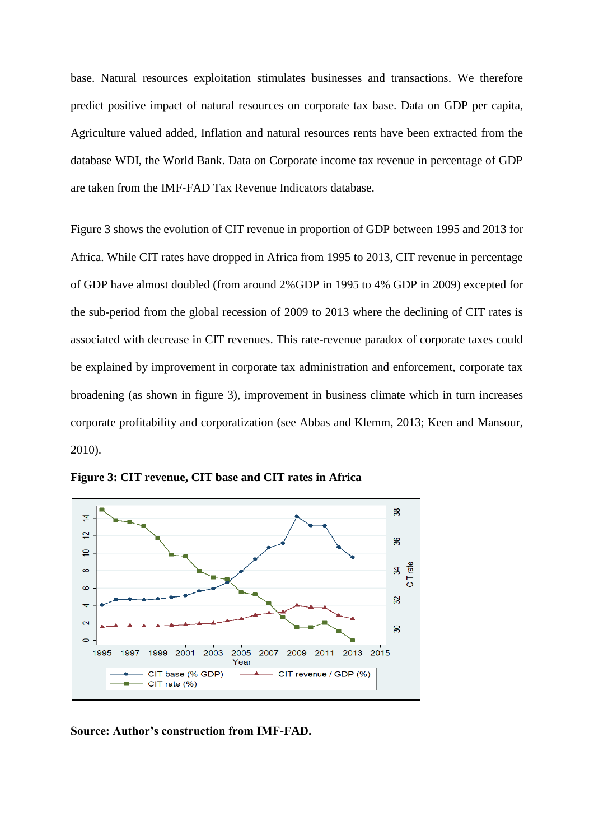base. Natural resources exploitation stimulates businesses and transactions. We therefore predict positive impact of natural resources on corporate tax base. Data on GDP per capita, Agriculture valued added, Inflation and natural resources rents have been extracted from the database WDI, the World Bank. Data on Corporate income tax revenue in percentage of GDP are taken from the IMF-FAD Tax Revenue Indicators database.

Figure 3 shows the evolution of CIT revenue in proportion of GDP between 1995 and 2013 for Africa. While CIT rates have dropped in Africa from 1995 to 2013, CIT revenue in percentage of GDP have almost doubled (from around 2%GDP in 1995 to 4% GDP in 2009) excepted for the sub-period from the global recession of 2009 to 2013 where the declining of CIT rates is associated with decrease in CIT revenues. This rate-revenue paradox of corporate taxes could be explained by improvement in corporate tax administration and enforcement, corporate tax broadening (as shown in figure 3), improvement in business climate which in turn increases corporate profitability and corporatization (see Abbas and Klemm, 2013; Keen and Mansour, 2010).



**Figure 3: CIT revenue, CIT base and CIT rates in Africa** 

**Source: Author's construction from IMF-FAD.**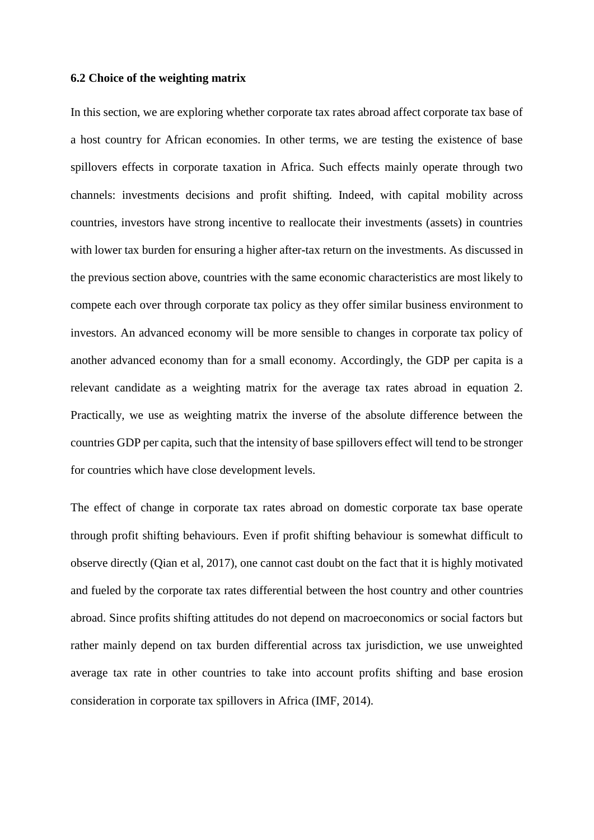### **6.2 Choice of the weighting matrix**

In this section, we are exploring whether corporate tax rates abroad affect corporate tax base of a host country for African economies. In other terms, we are testing the existence of base spillovers effects in corporate taxation in Africa. Such effects mainly operate through two channels: investments decisions and profit shifting. Indeed, with capital mobility across countries, investors have strong incentive to reallocate their investments (assets) in countries with lower tax burden for ensuring a higher after-tax return on the investments. As discussed in the previous section above, countries with the same economic characteristics are most likely to compete each over through corporate tax policy as they offer similar business environment to investors. An advanced economy will be more sensible to changes in corporate tax policy of another advanced economy than for a small economy. Accordingly, the GDP per capita is a relevant candidate as a weighting matrix for the average tax rates abroad in equation 2. Practically, we use as weighting matrix the inverse of the absolute difference between the countries GDP per capita, such that the intensity of base spillovers effect will tend to be stronger for countries which have close development levels.

The effect of change in corporate tax rates abroad on domestic corporate tax base operate through profit shifting behaviours. Even if profit shifting behaviour is somewhat difficult to observe directly (Qian et al, 2017), one cannot cast doubt on the fact that it is highly motivated and fueled by the corporate tax rates differential between the host country and other countries abroad. Since profits shifting attitudes do not depend on macroeconomics or social factors but rather mainly depend on tax burden differential across tax jurisdiction, we use unweighted average tax rate in other countries to take into account profits shifting and base erosion consideration in corporate tax spillovers in Africa (IMF, 2014).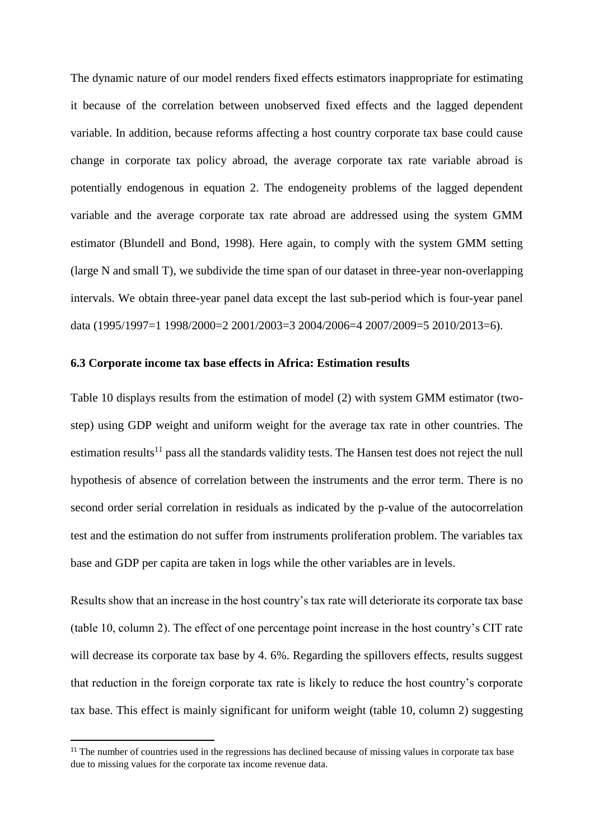The dynamic nature of our model renders fixed effects estimators inappropriate for estimating it because of the correlation between unobserved fixed effects and the lagged dependent variable. In addition, because reforms affecting a host country corporate tax base could cause change in corporate tax policy abroad, the average corporate tax rate variable abroad is potentially endogenous in equation 2. The endogeneity problems of the lagged dependent variable and the average corporate tax rate abroad are addressed using the system GMM estimator (Blundell and Bond, 1998). Here again, to comply with the system GMM setting (large N and small T), we subdivide the time span of our dataset in three-year non-overlapping intervals. We obtain three-year panel data except the last sub-period which is four-year panel data (1995/1997=1 1998/2000=2 2001/2003=3 2004/2006=4 2007/2009=5 2010/2013=6).

#### **6.3 Corporate income tax base effects in Africa: Estimation results**

Table 10 displays results from the estimation of model (2) with system GMM estimator (twostep) using GDP weight and uniform weight for the average tax rate in other countries. The estimation results<sup>11</sup> pass all the standards validity tests. The Hansen test does not reject the null hypothesis of absence of correlation between the instruments and the error term. There is no second order serial correlation in residuals as indicated by the p-value of the autocorrelation test and the estimation do not suffer from instruments proliferation problem. The variables tax base and GDP per capita are taken in logs while the other variables are in levels.

Results show that an increase in the host country's tax rate will deteriorate its corporate tax base (table 10, column 2). The effect of one percentage point increase in the host country's CIT rate will decrease its corporate tax base by 4. 6%. Regarding the spillovers effects, results suggest that reduction in the foreign corporate tax rate is likely to reduce the host country's corporate tax base. This effect is mainly significant for uniform weight (table 10, column 2) suggesting

 $\overline{a}$ 

 $11$ <sup>11</sup> The number of countries used in the regressions has declined because of missing values in corporate tax base due to missing values for the corporate tax income revenue data.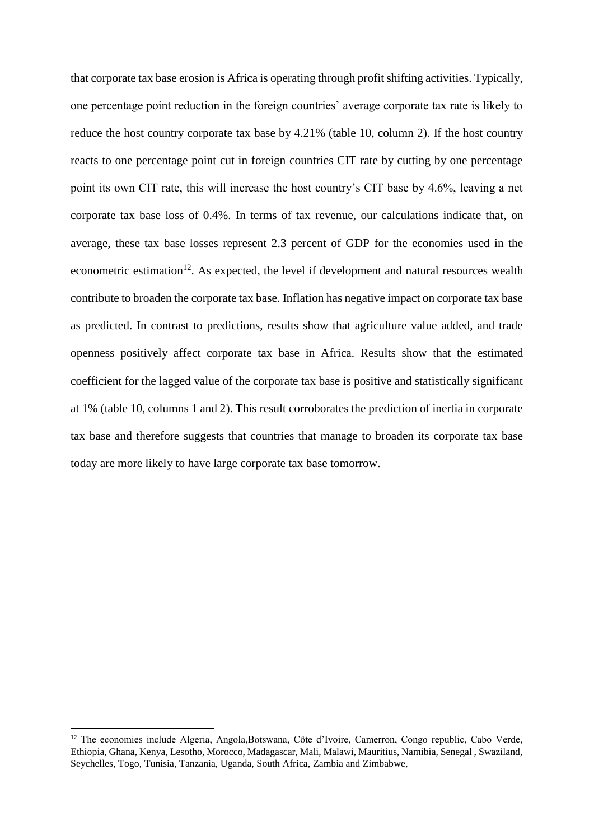that corporate tax base erosion is Africa is operating through profit shifting activities. Typically, one percentage point reduction in the foreign countries' average corporate tax rate is likely to reduce the host country corporate tax base by 4.21% (table 10, column 2). If the host country reacts to one percentage point cut in foreign countries CIT rate by cutting by one percentage point its own CIT rate, this will increase the host country's CIT base by 4.6%, leaving a net corporate tax base loss of 0.4%. In terms of tax revenue, our calculations indicate that, on average, these tax base losses represent 2.3 percent of GDP for the economies used in the econometric estimation<sup>12</sup>. As expected, the level if development and natural resources wealth contribute to broaden the corporate tax base. Inflation has negative impact on corporate tax base as predicted. In contrast to predictions, results show that agriculture value added, and trade openness positively affect corporate tax base in Africa. Results show that the estimated coefficient for the lagged value of the corporate tax base is positive and statistically significant at 1% (table 10, columns 1 and 2). This result corroborates the prediction of inertia in corporate tax base and therefore suggests that countries that manage to broaden its corporate tax base today are more likely to have large corporate tax base tomorrow.

**.** 

<sup>12</sup> The economies include Algeria, Angola,Botswana, Côte d'Ivoire, Camerron, Congo republic, Cabo Verde, Ethiopia, Ghana, Kenya, Lesotho, Morocco, Madagascar, Mali, Malawi, Mauritius, Namibia, Senegal , Swaziland, Seychelles, Togo, Tunisia, Tanzania, Uganda, South Africa, Zambia and Zimbabwe,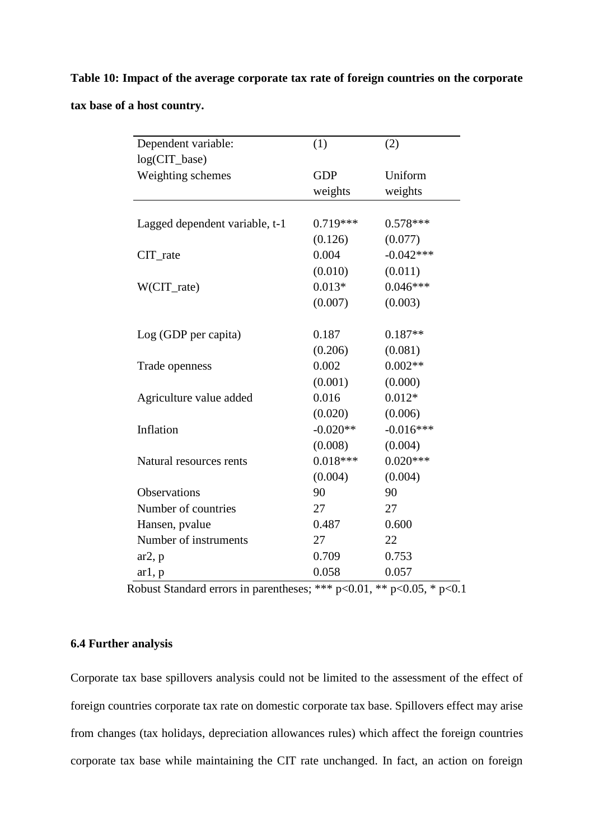# **Table 10: Impact of the average corporate tax rate of foreign countries on the corporate tax base of a host country.**

| Dependent variable:            | (1)        | (2)         |
|--------------------------------|------------|-------------|
| log(CIT_base)                  |            |             |
| Weighting schemes              | <b>GDP</b> | Uniform     |
|                                | weights    | weights     |
|                                |            |             |
| Lagged dependent variable, t-1 | $0.719***$ | $0.578***$  |
|                                | (0.126)    | (0.077)     |
| CIT_rate                       | 0.004      | $-0.042***$ |
|                                | (0.010)    | (0.011)     |
| W(CIT_rate)                    | $0.013*$   | $0.046***$  |
|                                | (0.007)    | (0.003)     |
|                                |            |             |
| Log (GDP per capita)           | 0.187      | $0.187**$   |
|                                | (0.206)    | (0.081)     |
| Trade openness                 | 0.002      | $0.002**$   |
|                                | (0.001)    | (0.000)     |
| Agriculture value added        | 0.016      | $0.012*$    |
|                                | (0.020)    | (0.006)     |
| Inflation                      | $-0.020**$ | $-0.016***$ |
|                                | (0.008)    | (0.004)     |
| Natural resources rents        | $0.018***$ | $0.020***$  |
|                                | (0.004)    | (0.004)     |
| <b>Observations</b>            | 90         | 90          |
| Number of countries            | 27         | 27          |
| Hansen, pvalue                 | 0.487      | 0.600       |
| Number of instruments          | 27         | 22          |
| $ar2$ , p                      | 0.709      | 0.753       |
| ar1, p                         | 0.058      | 0.057       |

Robust Standard errors in parentheses; \*\*\*  $p<0.01$ , \*\*  $p<0.05$ , \*  $p<0.1$ 

### **6.4 Further analysis**

Corporate tax base spillovers analysis could not be limited to the assessment of the effect of foreign countries corporate tax rate on domestic corporate tax base. Spillovers effect may arise from changes (tax holidays, depreciation allowances rules) which affect the foreign countries corporate tax base while maintaining the CIT rate unchanged. In fact, an action on foreign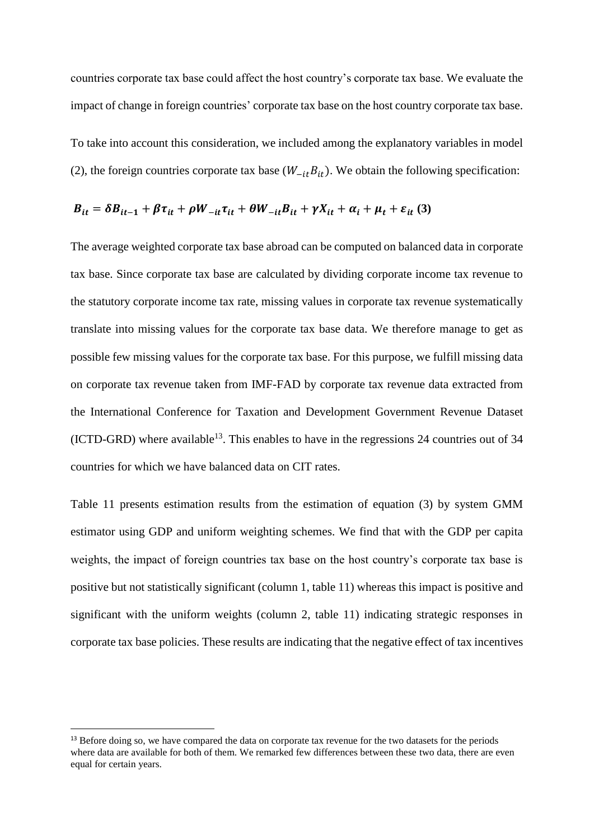countries corporate tax base could affect the host country's corporate tax base. We evaluate the impact of change in foreign countries' corporate tax base on the host country corporate tax base.

To take into account this consideration, we included among the explanatory variables in model (2), the foreign countries corporate tax base  $(W_{-it}B_{it})$ . We obtain the following specification:

$$
B_{it} = \delta B_{it-1} + \beta \tau_{it} + \rho W_{-it} \tau_{it} + \theta W_{-it} B_{it} + \gamma X_{it} + \alpha_i + \mu_t + \varepsilon_{it} \tag{3}
$$

The average weighted corporate tax base abroad can be computed on balanced data in corporate tax base. Since corporate tax base are calculated by dividing corporate income tax revenue to the statutory corporate income tax rate, missing values in corporate tax revenue systematically translate into missing values for the corporate tax base data. We therefore manage to get as possible few missing values for the corporate tax base. For this purpose, we fulfill missing data on corporate tax revenue taken from IMF-FAD by corporate tax revenue data extracted from the International Conference for Taxation and Development Government Revenue Dataset (ICTD-GRD) where available<sup>13</sup>. This enables to have in the regressions 24 countries out of 34 countries for which we have balanced data on CIT rates.

Table 11 presents estimation results from the estimation of equation (3) by system GMM estimator using GDP and uniform weighting schemes. We find that with the GDP per capita weights, the impact of foreign countries tax base on the host country's corporate tax base is positive but not statistically significant (column 1, table 11) whereas this impact is positive and significant with the uniform weights (column 2, table 11) indicating strategic responses in corporate tax base policies. These results are indicating that the negative effect of tax incentives

**.** 

<sup>&</sup>lt;sup>13</sup> Before doing so, we have compared the data on corporate tax revenue for the two datasets for the periods where data are available for both of them. We remarked few differences between these two data, there are even equal for certain years.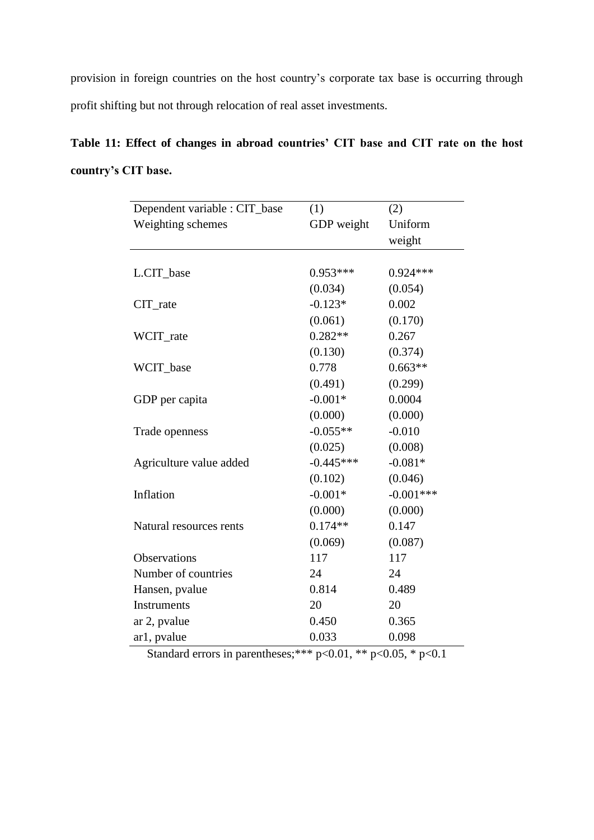provision in foreign countries on the host country's corporate tax base is occurring through profit shifting but not through relocation of real asset investments.

**Table 11: Effect of changes in abroad countries' CIT base and CIT rate on the host country's CIT base.**

| Dependent variable : CIT_base | (1)         | (2)         |
|-------------------------------|-------------|-------------|
| Weighting schemes             | GDP weight  | Uniform     |
|                               |             | weight      |
|                               |             |             |
| L.CIT_base                    | $0.953***$  | $0.924***$  |
|                               | (0.034)     | (0.054)     |
| $CIT_$ rate                   | $-0.123*$   | 0.002       |
|                               | (0.061)     | (0.170)     |
| WCIT_rate                     | $0.282**$   | 0.267       |
|                               | (0.130)     | (0.374)     |
| WCIT_base                     | 0.778       | $0.663**$   |
|                               | (0.491)     | (0.299)     |
| GDP per capita                | $-0.001*$   | 0.0004      |
|                               | (0.000)     | (0.000)     |
| Trade openness                | $-0.055**$  | $-0.010$    |
|                               | (0.025)     | (0.008)     |
| Agriculture value added       | $-0.445***$ | $-0.081*$   |
|                               | (0.102)     | (0.046)     |
| Inflation                     | $-0.001*$   | $-0.001***$ |
|                               | (0.000)     | (0.000)     |
| Natural resources rents       | $0.174**$   | 0.147       |
|                               | (0.069)     | (0.087)     |
| <b>Observations</b>           | 117         | 117         |
| Number of countries           | 24          | 24          |
| Hansen, pvalue                | 0.814       | 0.489       |
| Instruments                   | 20          | 20          |
| ar 2, pvalue                  | 0.450       | 0.365       |
| ar1, pvalue                   | 0.033       | 0.098       |

Standard errors in parentheses;\*\*\*  $p<0.01$ , \*\*  $p<0.05$ , \*  $p<0.1$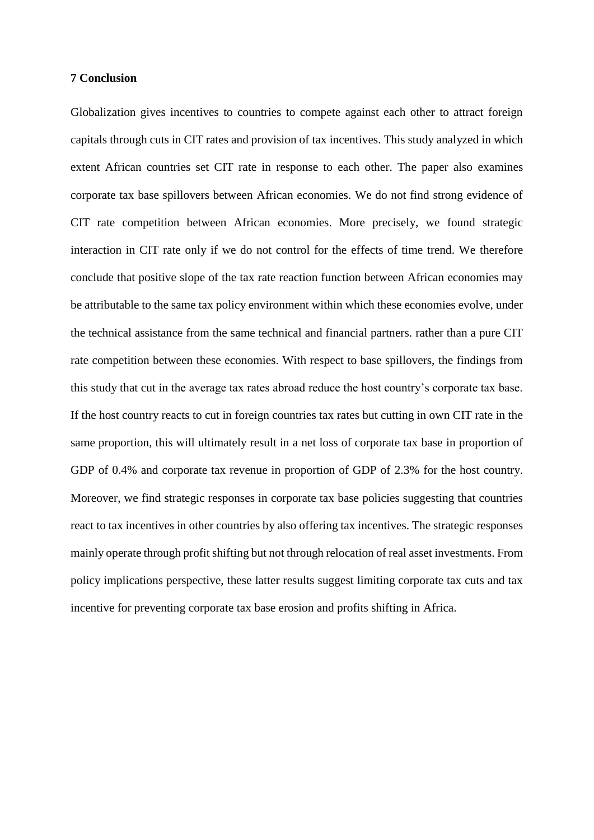### **7 Conclusion**

Globalization gives incentives to countries to compete against each other to attract foreign capitals through cuts in CIT rates and provision of tax incentives. This study analyzed in which extent African countries set CIT rate in response to each other. The paper also examines corporate tax base spillovers between African economies. We do not find strong evidence of CIT rate competition between African economies. More precisely, we found strategic interaction in CIT rate only if we do not control for the effects of time trend. We therefore conclude that positive slope of the tax rate reaction function between African economies may be attributable to the same tax policy environment within which these economies evolve, under the technical assistance from the same technical and financial partners. rather than a pure CIT rate competition between these economies. With respect to base spillovers, the findings from this study that cut in the average tax rates abroad reduce the host country's corporate tax base. If the host country reacts to cut in foreign countries tax rates but cutting in own CIT rate in the same proportion, this will ultimately result in a net loss of corporate tax base in proportion of GDP of 0.4% and corporate tax revenue in proportion of GDP of 2.3% for the host country. Moreover, we find strategic responses in corporate tax base policies suggesting that countries react to tax incentives in other countries by also offering tax incentives. The strategic responses mainly operate through profit shifting but not through relocation of real asset investments. From policy implications perspective, these latter results suggest limiting corporate tax cuts and tax incentive for preventing corporate tax base erosion and profits shifting in Africa.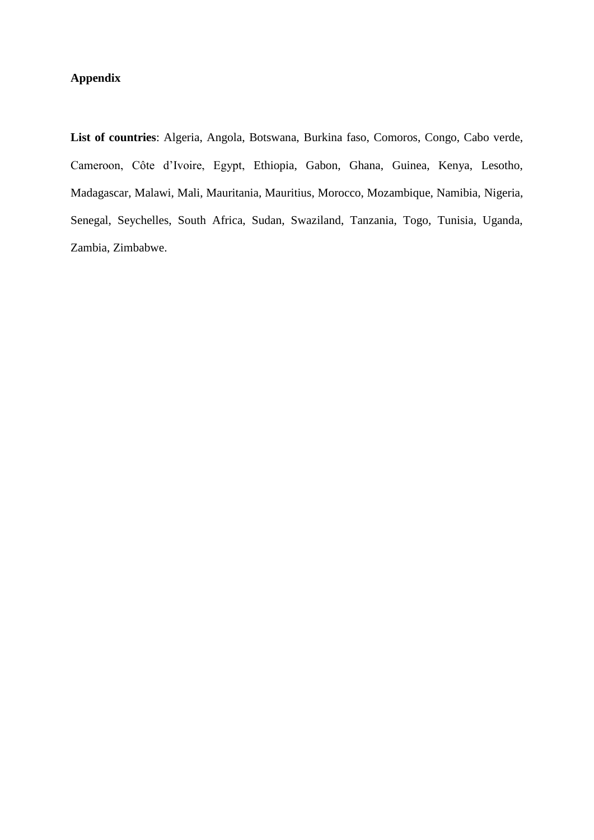## **Appendix**

**List of countries**: Algeria, Angola, Botswana, Burkina faso, Comoros, Congo, Cabo verde, Cameroon, Côte d'Ivoire, Egypt, Ethiopia, Gabon, Ghana, Guinea, Kenya, Lesotho, Madagascar, Malawi, Mali, Mauritania, Mauritius, Morocco, Mozambique, Namibia, Nigeria, Senegal, Seychelles, South Africa, Sudan, Swaziland, Tanzania, Togo, Tunisia, Uganda, Zambia, Zimbabwe.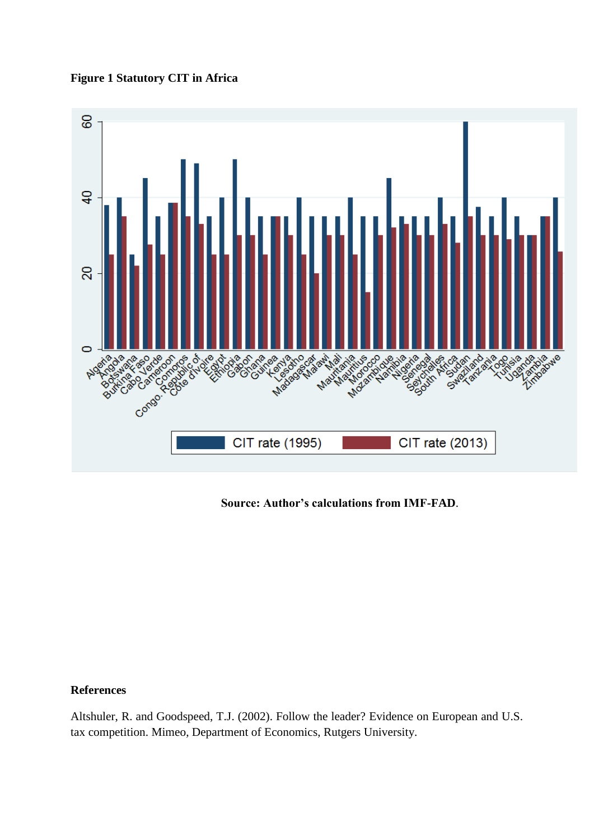**Figure 1 Statutory CIT in Africa**



**Source: Author's calculations from IMF-FAD**.

### **References**

Altshuler, R. and Goodspeed, T.J. (2002). Follow the leader? Evidence on European and U.S. tax competition. Mimeo, Department of Economics, Rutgers University.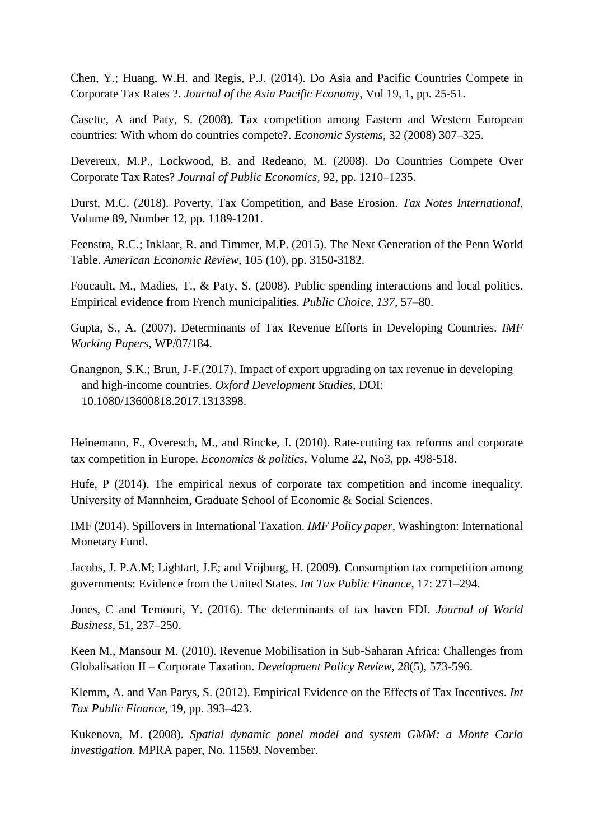Chen, Y.; Huang, W.H. and Regis, P.J. (2014). Do Asia and Pacific Countries Compete in Corporate Tax Rates ?. *Journal of the Asia Pacific Economy*, Vol 19, 1, pp. 25-51.

Casette, A and Paty, S. (2008). Tax competition among Eastern and Western European countries: With whom do countries compete?. *Economic Systems*, 32 (2008) 307–325.

Devereux, M.P., Lockwood, B. and Redeano, M. (2008). Do Countries Compete Over Corporate Tax Rates? *Journal of Public Economics,* 92, pp. 1210–1235.

Durst, M.C. (2018). Poverty, Tax Competition, and Base Erosion. *Tax Notes International*, Volume 89, Number 12, pp. 1189-1201.

Feenstra, R.C.; Inklaar, R. and Timmer, M.P. (2015). The Next Generation of the Penn World Table. *American Economic Review*, 105 (10), pp. 3150-3182.

Foucault, M., Madies, T., & Paty, S. (2008). Public spending interactions and local politics. Empirical evidence from French municipalities. *Public Choice*, *137*, 57–80.

Gupta, S., A. (2007). Determinants of Tax Revenue Efforts in Developing Countries. *IMF Working Papers*, WP/07/184.

Gnangnon, S.K.; Brun, J-F.(2017). Impact of export upgrading on tax revenue in developing and high-income countries. *Oxford Development Studies*, DOI: 10.1080/13600818.2017.1313398.

Heinemann, F., Overesch, M., and Rincke, J. (2010). Rate-cutting tax reforms and corporate tax competition in Europe. *Economics & politics,* Volume 22, No3, pp. 498-518.

Hufe, P (2014). The empirical nexus of corporate tax competition and income inequality. University of Mannheim, Graduate School of Economic & Social Sciences.

IMF (2014). Spillovers in International Taxation. *IMF Policy paper*, Washington: International Monetary Fund.

Jacobs, J. P.A.M; Lightart, J.E; and Vrijburg, H. (2009). Consumption tax competition among governments: Evidence from the United States. *Int Tax Public Finance*, 17: 271–294.

Jones, C and Temouri, Y. (2016). The determinants of tax haven FDI. *Journal of World Business,* 51, 237–250.

Keen M., Mansour M. (2010). Revenue Mobilisation in Sub-Saharan Africa: Challenges from Globalisation II – Corporate Taxation. *Development Policy Review*, 28(5), 573-596.

Klemm, A. and Van Parys, S. (2012). Empirical Evidence on the Effects of Tax Incentives. *Int Tax Public Finance*, 19, pp. 393–423.

Kukenova, M. (2008). *Spatial dynamic panel model and system GMM: a Monte Carlo investigation*. MPRA paper, No. 11569, November.